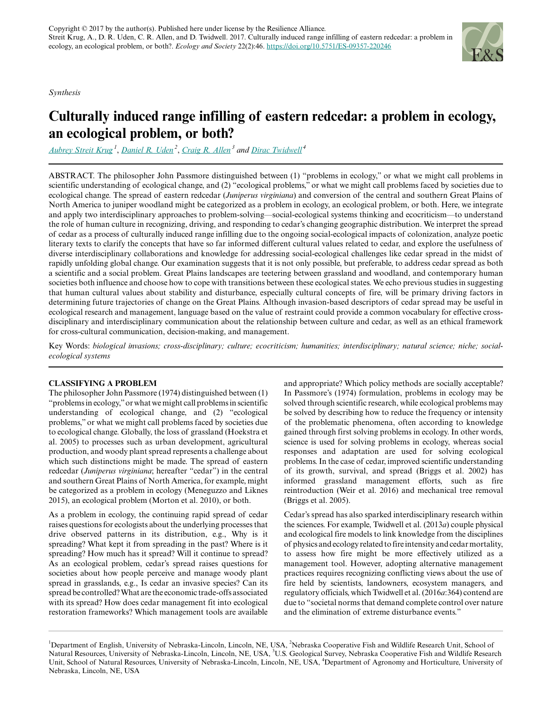*Synthesis*



# **Culturally induced range infilling of eastern redcedar: a problem in ecology, an ecological problem, or both?**

*[Aubrey Streit Krug](mailto:arstreit@gmail.com)<sup>1</sup>* , *[Daniel R. Uden](mailto:danielruden87@gmail.com)<sup>2</sup>* , *[Craig R. Allen](mailto:callen3@unl.edu)<sup>3</sup> and [Dirac Twidwell](mailto:dirac.twidwell@unl.edu)<sup>4</sup>*

ABSTRACT. The philosopher John Passmore distinguished between (1) "problems in ecology," or what we might call problems in scientific understanding of ecological change, and (2) "ecological problems," or what we might call problems faced by societies due to ecological change. The spread of eastern redcedar (*Juniperus virginiana*) and conversion of the central and southern Great Plains of North America to juniper woodland might be categorized as a problem in ecology, an ecological problem, or both. Here, we integrate and apply two interdisciplinary approaches to problem-solving—social-ecological systems thinking and ecocriticism—to understand the role of human culture in recognizing, driving, and responding to cedar's changing geographic distribution. We interpret the spread of cedar as a process of culturally induced range infilling due to the ongoing social-ecological impacts of colonization, analyze poetic literary texts to clarify the concepts that have so far informed different cultural values related to cedar, and explore the usefulness of diverse interdisciplinary collaborations and knowledge for addressing social-ecological challenges like cedar spread in the midst of rapidly unfolding global change. Our examination suggests that it is not only possible, but preferable, to address cedar spread as both a scientific and a social problem. Great Plains landscapes are teetering between grassland and woodland, and contemporary human societies both influence and choose how to cope with transitions between these ecological states. We echo previous studies in suggesting that human cultural values about stability and disturbance, especially cultural concepts of fire, will be primary driving factors in determining future trajectories of change on the Great Plains. Although invasion-based descriptors of cedar spread may be useful in ecological research and management, language based on the value of restraint could provide a common vocabulary for effective crossdisciplinary and interdisciplinary communication about the relationship between culture and cedar, as well as an ethical framework for cross-cultural communication, decision-making, and management.

Key Words: *biological invasions; cross-disciplinary; culture; ecocriticism; humanities; interdisciplinary; natural science; niche; socialecological systems*

# **CLASSIFYING A PROBLEM**

The philosopher John Passmore (1974) distinguished between (1) "problems in ecology," or what we might call problems in scientific understanding of ecological change, and (2) "ecological problems," or what we might call problems faced by societies due to ecological change. Globally, the loss of grassland (Hoekstra et al. 2005) to processes such as urban development, agricultural production, and woody plant spread represents a challenge about which such distinctions might be made. The spread of eastern redcedar (*Juniperus virginiana*; hereafter "cedar") in the central and southern Great Plains of North America, for example, might be categorized as a problem in ecology (Meneguzzo and Liknes 2015), an ecological problem (Morton et al. 2010), or both.

As a problem in ecology, the continuing rapid spread of cedar raises questions for ecologists about the underlying processes that drive observed patterns in its distribution, e.g., Why is it spreading? What kept it from spreading in the past? Where is it spreading? How much has it spread? Will it continue to spread? As an ecological problem, cedar's spread raises questions for societies about how people perceive and manage woody plant spread in grasslands, e.g., Is cedar an invasive species? Can its spread be controlled? What are the economic trade-offs associated with its spread? How does cedar management fit into ecological restoration frameworks? Which management tools are available

and appropriate? Which policy methods are socially acceptable? In Passmore's (1974) formulation, problems in ecology may be solved through scientific research, while ecological problems may be solved by describing how to reduce the frequency or intensity of the problematic phenomena, often according to knowledge gained through first solving problems in ecology. In other words, science is used for solving problems in ecology, whereas social responses and adaptation are used for solving ecological problems. In the case of cedar, improved scientific understanding of its growth, survival, and spread (Briggs et al. 2002) has informed grassland management efforts, such as fire reintroduction (Weir et al. 2016) and mechanical tree removal (Briggs et al. 2005).

Cedar's spread has also sparked interdisciplinary research within the sciences. For example, Twidwell et al. (2013*a*) couple physical and ecological fire models to link knowledge from the disciplines of physics and ecology related to fire intensity and cedar mortality, to assess how fire might be more effectively utilized as a management tool. However, adopting alternative management practices requires recognizing conflicting views about the use of fire held by scientists, landowners, ecosystem managers, and regulatory officials, which Twidwell et al. (2016*a*:364) contend are due to "societal norms that demand complete control over nature and the elimination of extreme disturbance events."

<sup>&</sup>lt;sup>1</sup>Department of English, University of Nebraska-Lincoln, Lincoln, NE, USA, <sup>2</sup>Nebraska Cooperative Fish and Wildlife Research Unit, School of Natural Resources, University of Nebraska-Lincoln, Lincoln, NE, USA, <sup>3</sup>U.S. Geological Survey, Nebraska Cooperative Fish and Wildlife Research Unit, School of Natural Resources, University of Nebraska-Lincoln, Lincoln, NE, USA, <sup>4</sup>Department of Agronomy and Horticulture, University of Nebraska, Lincoln, NE, USA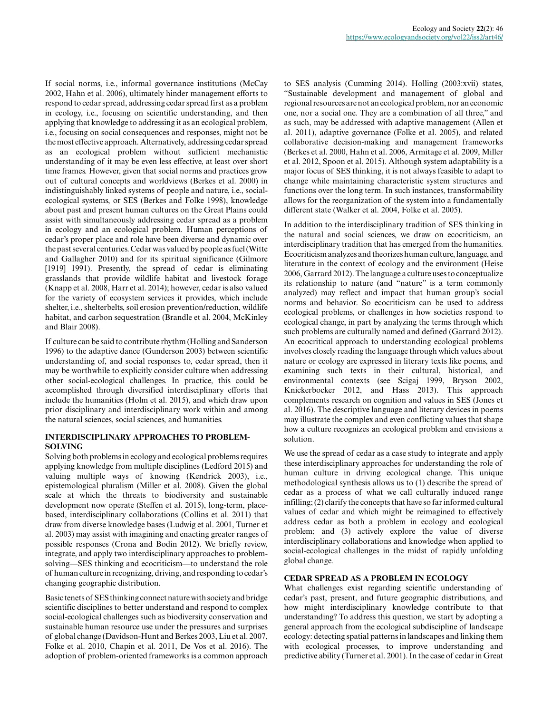If social norms, i.e., informal governance institutions (McCay 2002, Hahn et al. 2006), ultimately hinder management efforts to respond to cedar spread, addressing cedar spread first as a problem in ecology, i.e., focusing on scientific understanding, and then applying that knowledge to addressing it as an ecological problem, i.e., focusing on social consequences and responses, might not be the most effective approach. Alternatively, addressing cedar spread as an ecological problem without sufficient mechanistic understanding of it may be even less effective, at least over short time frames. However, given that social norms and practices grow out of cultural concepts and worldviews (Berkes et al. 2000) in indistinguishably linked systems of people and nature, i.e., socialecological systems, or SES (Berkes and Folke 1998), knowledge about past and present human cultures on the Great Plains could assist with simultaneously addressing cedar spread as a problem in ecology and an ecological problem. Human perceptions of cedar's proper place and role have been diverse and dynamic over the past several centuries. Cedar was valued by people as fuel (Witte and Gallagher 2010) and for its spiritual significance (Gilmore [1919] 1991). Presently, the spread of cedar is eliminating grasslands that provide wildlife habitat and livestock forage (Knapp et al. 2008, Harr et al. 2014); however, cedar is also valued for the variety of ecosystem services it provides, which include shelter, i.e., shelterbelts, soil erosion prevention/reduction, wildlife habitat, and carbon sequestration (Brandle et al. 2004, McKinley and Blair 2008).

If culture can be said to contribute rhythm (Holling and Sanderson 1996) to the adaptive dance (Gunderson 2003) between scientific understanding of, and social responses to, cedar spread, then it may be worthwhile to explicitly consider culture when addressing other social-ecological challenges. In practice, this could be accomplished through diversified interdisciplinary efforts that include the humanities (Holm et al. 2015), and which draw upon prior disciplinary and interdisciplinary work within and among the natural sciences, social sciences, and humanities.

# **INTERDISCIPLINARY APPROACHES TO PROBLEM-SOLVING**

Solving both problems in ecology and ecological problems requires applying knowledge from multiple disciplines (Ledford 2015) and valuing multiple ways of knowing (Kendrick 2003), i.e., epistemological pluralism (Miller et al. 2008). Given the global scale at which the threats to biodiversity and sustainable development now operate (Steffen et al. 2015), long-term, placebased, interdisciplinary collaborations (Collins et al. 2011) that draw from diverse knowledge bases (Ludwig et al. 2001, Turner et al. 2003) may assist with imagining and enacting greater ranges of possible responses (Crona and Bodin 2012). We briefly review, integrate, and apply two interdisciplinary approaches to problemsolving—SES thinking and ecocriticism—to understand the role of human culture in recognizing, driving, and responding to cedar's changing geographic distribution.

Basic tenets of SES thinking connect nature with society and bridge scientific disciplines to better understand and respond to complex social-ecological challenges such as biodiversity conservation and sustainable human resource use under the pressures and surprises of global change (Davidson-Hunt and Berkes 2003, Liu et al. 2007, Folke et al. 2010, Chapin et al. 2011, De Vos et al. 2016). The adoption of problem-oriented frameworks is a common approach

to SES analysis (Cumming 2014). Holling (2003:xvii) states, "Sustainable development and management of global and regional resources are not an ecological problem, nor an economic one, nor a social one. They are a combination of all three," and as such, may be addressed with adaptive management (Allen et al. 2011), adaptive governance (Folke et al. 2005), and related collaborative decision-making and management frameworks (Berkes et al. 2000, Hahn et al. 2006, Armitage et al. 2009, Miller et al. 2012, Spoon et al. 2015). Although system adaptability is a major focus of SES thinking, it is not always feasible to adapt to change while maintaining characteristic system structures and functions over the long term. In such instances, transformability allows for the reorganization of the system into a fundamentally different state (Walker et al. 2004, Folke et al. 2005).

In addition to the interdisciplinary tradition of SES thinking in the natural and social sciences, we draw on ecocriticism, an interdisciplinary tradition that has emerged from the humanities. Ecocriticism analyzes and theorizes human culture, language, and literature in the context of ecology and the environment (Heise 2006, Garrard 2012). The language a culture uses to conceptualize its relationship to nature (and "nature" is a term commonly analyzed) may reflect and impact that human group's social norms and behavior. So ecocriticism can be used to address ecological problems, or challenges in how societies respond to ecological change, in part by analyzing the terms through which such problems are culturally named and defined (Garrard 2012). An ecocritical approach to understanding ecological problems involves closely reading the language through which values about nature or ecology are expressed in literary texts like poems, and examining such texts in their cultural, historical, and environmental contexts (see Scigaj 1999, Bryson 2002, Knickerbocker 2012, and Hass 2013). This approach complements research on cognition and values in SES (Jones et al. 2016). The descriptive language and literary devices in poems may illustrate the complex and even conflicting values that shape how a culture recognizes an ecological problem and envisions a solution.

We use the spread of cedar as a case study to integrate and apply these interdisciplinary approaches for understanding the role of human culture in driving ecological change. This unique methodological synthesis allows us to (1) describe the spread of cedar as a process of what we call culturally induced range infilling; (2) clarify the concepts that have so far informed cultural values of cedar and which might be reimagined to effectively address cedar as both a problem in ecology and ecological problem; and (3) actively explore the value of diverse interdisciplinary collaborations and knowledge when applied to social-ecological challenges in the midst of rapidly unfolding global change.

# **CEDAR SPREAD AS A PROBLEM IN ECOLOGY**

What challenges exist regarding scientific understanding of cedar's past, present, and future geographic distributions, and how might interdisciplinary knowledge contribute to that understanding? To address this question, we start by adopting a general approach from the ecological subdiscipline of landscape ecology: detecting spatial patterns in landscapes and linking them with ecological processes, to improve understanding and predictive ability (Turner et al. 2001). In the case of cedar in Great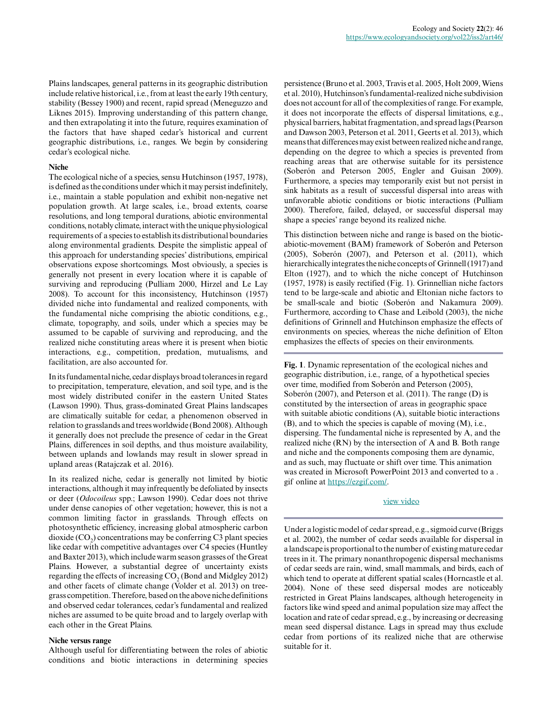Plains landscapes, general patterns in its geographic distribution include relative historical, i.e., from at least the early 19th century, stability (Bessey 1900) and recent, rapid spread (Meneguzzo and Liknes 2015). Improving understanding of this pattern change, and then extrapolating it into the future, requires examination of the factors that have shaped cedar's historical and current geographic distributions, i.e., ranges. We begin by considering cedar's ecological niche.

#### **Niche**

The ecological niche of a species, sensu Hutchinson (1957, 1978), is defined as the conditions under which it may persist indefinitely, i.e., maintain a stable population and exhibit non-negative net population growth. At large scales, i.e., broad extents, coarse resolutions, and long temporal durations, abiotic environmental conditions, notably climate, interact with the unique physiological requirements of a species to establish its distributional boundaries along environmental gradients. Despite the simplistic appeal of this approach for understanding species' distributions, empirical observations expose shortcomings. Most obviously, a species is generally not present in every location where it is capable of surviving and reproducing (Pulliam 2000, Hirzel and Le Lay 2008). To account for this inconsistency, Hutchinson (1957) divided niche into fundamental and realized components, with the fundamental niche comprising the abiotic conditions, e.g., climate, topography, and soils, under which a species may be assumed to be capable of surviving and reproducing, and the realized niche constituting areas where it is present when biotic interactions, e.g., competition, predation, mutualisms, and facilitation, are also accounted for.

In its fundamental niche, cedar displays broad tolerances in regard to precipitation, temperature, elevation, and soil type, and is the most widely distributed conifer in the eastern United States (Lawson 1990). Thus, grass-dominated Great Plains landscapes are climatically suitable for cedar, a phenomenon observed in relation to grasslands and trees worldwide (Bond 2008). Although it generally does not preclude the presence of cedar in the Great Plains, differences in soil depths, and thus moisture availability, between uplands and lowlands may result in slower spread in upland areas (Ratajczak et al. 2016).

In its realized niche, cedar is generally not limited by biotic interactions, although it may infrequently be defoliated by insects or deer (*Odocoileus* spp.; Lawson 1990). Cedar does not thrive under dense canopies of other vegetation; however, this is not a common limiting factor in grasslands. Through effects on photosynthetic efficiency, increasing global atmospheric carbon dioxide  $({\rm CO}_2)$  concentrations may be conferring C3 plant species like cedar with competitive advantages over C4 species (Huntley and Baxter 2013), which include warm season grasses of the Great Plains. However, a substantial degree of uncertainty exists regarding the effects of increasing  $CO<sub>2</sub>$  (Bond and Midgley 2012) and other facets of climate change (Volder et al. 2013) on treegrass competition. Therefore, based on the above niche definitions and observed cedar tolerances, cedar's fundamental and realized niches are assumed to be quite broad and to largely overlap with each other in the Great Plains.

#### **Niche versus range**

Although useful for differentiating between the roles of abiotic conditions and biotic interactions in determining species persistence (Bruno et al. 2003, Travis et al. 2005, Holt 2009, Wiens et al. 2010), Hutchinson's fundamental-realized niche subdivision does not account for all of the complexities of range. For example, it does not incorporate the effects of dispersal limitations, e.g., physical barriers, habitat fragmentation, and spread lags (Pearson and Dawson 2003, Peterson et al. 2011, Geerts et al. 2013), which means that differences may exist between realized niche and range, depending on the degree to which a species is prevented from reaching areas that are otherwise suitable for its persistence (Soberón and Peterson 2005, Engler and Guisan 2009). Furthermore, a species may temporarily exist but not persist in sink habitats as a result of successful dispersal into areas with unfavorable abiotic conditions or biotic interactions (Pulliam 2000). Therefore, failed, delayed, or successful dispersal may shape a species' range beyond its realized niche.

This distinction between niche and range is based on the bioticabiotic-movement (BAM) framework of Soberón and Peterson (2005), Soberón (2007), and Peterson et al. (2011), which hierarchically integrates the niche concepts of Grinnell (1917) and Elton (1927), and to which the niche concept of Hutchinson (1957, 1978) is easily rectified (Fig. 1). Grinnellian niche factors tend to be large-scale and abiotic and Eltonian niche factors to be small-scale and biotic (Soberón and Nakamura 2009). Furthermore, according to Chase and Leibold (2003), the niche definitions of Grinnell and Hutchinson emphasize the effects of environments on species, whereas the niche definition of Elton emphasizes the effects of species on their environments.

**Fig. 1**. Dynamic representation of the ecological niches and geographic distribution, i.e., range, of a hypothetical species over time, modified from Soberón and Peterson (2005), Soberón (2007), and Peterson et al. (2011). The range (D) is constituted by the intersection of areas in geographic space with suitable abiotic conditions (A), suitable biotic interactions (B), and to which the species is capable of moving (M), i.e., dispersing. The fundamental niche is represented by A, and the realized niche (RN) by the intersection of A and B. Both range and niche and the components composing them are dynamic, and as such, may fluctuate or shift over time. This animation was created in Microsoft PowerPoint 2013 and converted to a . gif online at<https://ezgif.com/>.

#### [view video](https://www.ecologyandsociety.org/9357/figure1.html)

Under a logistic model of cedar spread, e.g., sigmoid curve (Briggs et al. 2002), the number of cedar seeds available for dispersal in a landscape is proportional to the number of existing mature cedar trees in it. The primary nonanthropogenic dispersal mechanisms of cedar seeds are rain, wind, small mammals, and birds, each of which tend to operate at different spatial scales (Horncastle et al. 2004). None of these seed dispersal modes are noticeably restricted in Great Plains landscapes, although heterogeneity in factors like wind speed and animal population size may affect the location and rate of cedar spread, e.g., by increasing or decreasing mean seed dispersal distance. Lags in spread may thus exclude cedar from portions of its realized niche that are otherwise suitable for it.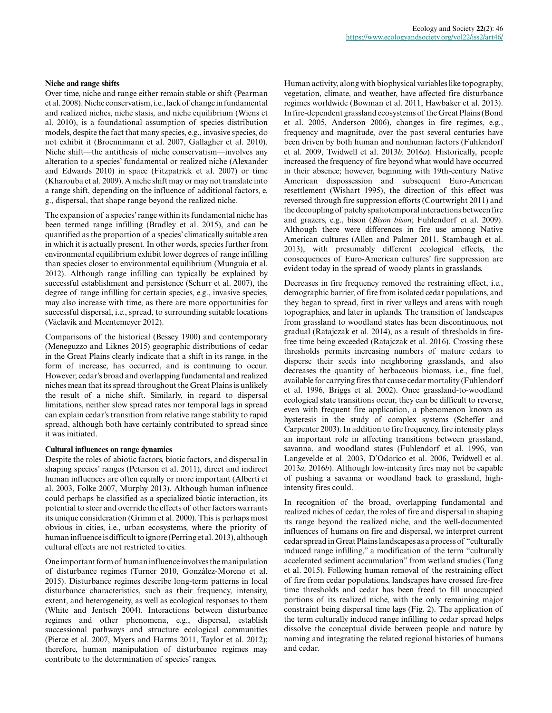#### **Niche and range shifts**

Over time, niche and range either remain stable or shift (Pearman et al. 2008). Niche conservatism, i.e., lack of change in fundamental and realized niches, niche stasis, and niche equilibrium (Wiens et al. 2010), is a foundational assumption of species distribution models, despite the fact that many species, e.g., invasive species, do not exhibit it (Broennimann et al. 2007, Gallagher et al. 2010). Niche shift—the antithesis of niche conservatism—involves any alteration to a species' fundamental or realized niche (Alexander and Edwards 2010) in space (Fitzpatrick et al. 2007) or time (Kharouba et al. 2009). A niche shift may or may not translate into a range shift, depending on the influence of additional factors, e. g., dispersal, that shape range beyond the realized niche.

The expansion of a species' range within its fundamental niche has been termed range infilling (Bradley et al. 2015), and can be quantified as the proportion of a species' climatically suitable area in which it is actually present. In other words, species further from environmental equilibrium exhibit lower degrees of range infilling than species closer to environmental equilibrium (Munguía et al. 2012). Although range infilling can typically be explained by successful establishment and persistence (Schurr et al. 2007), the degree of range infilling for certain species, e.g., invasive species, may also increase with time, as there are more opportunities for successful dispersal, i.e., spread, to surrounding suitable locations (Václavík and Meentemeyer 2012).

Comparisons of the historical (Bessey 1900) and contemporary (Meneguzzo and Liknes 2015) geographic distributions of cedar in the Great Plains clearly indicate that a shift in its range, in the form of increase, has occurred, and is continuing to occur. However, cedar's broad and overlapping fundamental and realized niches mean that its spread throughout the Great Plains is unlikely the result of a niche shift. Similarly, in regard to dispersal limitations, neither slow spread rates nor temporal lags in spread can explain cedar's transition from relative range stability to rapid spread, although both have certainly contributed to spread since it was initiated.

#### **Cultural influences on range dynamics**

Despite the roles of abiotic factors, biotic factors, and dispersal in shaping species' ranges (Peterson et al. 2011), direct and indirect human influences are often equally or more important (Alberti et al. 2003, Folke 2007, Murphy 2013). Although human influence could perhaps be classified as a specialized biotic interaction, its potential to steer and override the effects of other factors warrants its unique consideration (Grimm et al. 2000). This is perhaps most obvious in cities, i.e., urban ecosystems, where the priority of human influence is difficult to ignore (Perring et al. 2013), although cultural effects are not restricted to cities.

One important form of human influence involves the manipulation of disturbance regimes (Turner 2010, González-Moreno et al. 2015). Disturbance regimes describe long-term patterns in local disturbance characteristics, such as their frequency, intensity, extent, and heterogeneity, as well as ecological responses to them (White and Jentsch 2004). Interactions between disturbance regimes and other phenomena, e.g., dispersal, establish successional pathways and structure ecological communities (Pierce et al. 2007, Myers and Harms 2011, Taylor et al. 2012); therefore, human manipulation of disturbance regimes may contribute to the determination of species' ranges.

Human activity, along with biophysical variables like topography, vegetation, climate, and weather, have affected fire disturbance regimes worldwide (Bowman et al. 2011, Hawbaker et al. 2013). In fire-dependent grassland ecosystems of the Great Plains (Bond et al. 2005, Anderson 2006), changes in fire regimes, e.g., frequency and magnitude, over the past several centuries have been driven by both human and nonhuman factors (Fuhlendorf et al. 2009, Twidwell et al. 2013*b,* 2016*a*). Historically, people increased the frequency of fire beyond what would have occurred in their absence; however, beginning with 19th-century Native American dispossession and subsequent Euro-American resettlement (Wishart 1995), the direction of this effect was reversed through fire suppression efforts (Courtwright 2011) and the decoupling of patchy spatiotemporal interactions between fire and grazers, e.g., bison (*Bison bison*; Fuhlendorf et al. 2009). Although there were differences in fire use among Native American cultures (Allen and Palmer 2011, Stambaugh et al. 2013), with presumably different ecological effects, the consequences of Euro-American cultures' fire suppression are evident today in the spread of woody plants in grasslands.

Decreases in fire frequency removed the restraining effect, i.e., demographic barrier, of fire from isolated cedar populations, and they began to spread, first in river valleys and areas with rough topographies, and later in uplands. The transition of landscapes from grassland to woodland states has been discontinuous, not gradual (Ratajczak et al. 2014), as a result of thresholds in firefree time being exceeded (Ratajczak et al. 2016). Crossing these thresholds permits increasing numbers of mature cedars to disperse their seeds into neighboring grasslands, and also decreases the quantity of herbaceous biomass, i.e., fine fuel, available for carrying fires that cause cedar mortality (Fuhlendorf et al. 1996, Briggs et al. 2002). Once grassland-to-woodland ecological state transitions occur, they can be difficult to reverse, even with frequent fire application, a phenomenon known as hysteresis in the study of complex systems (Scheffer and Carpenter 2003). In addition to fire frequency, fire intensity plays an important role in affecting transitions between grassland, savanna, and woodland states (Fuhlendorf et al. 1996, van Langevelde et al. 2003, D'Odorico et al. 2006, Twidwell et al. 2013*a,* 2016*b*). Although low-intensity fires may not be capable of pushing a savanna or woodland back to grassland, highintensity fires could.

In recognition of the broad, overlapping fundamental and realized niches of cedar, the roles of fire and dispersal in shaping its range beyond the realized niche, and the well-documented influences of humans on fire and dispersal, we interpret current cedar spread in Great Plains landscapes as a process of "culturally induced range infilling," a modification of the term "culturally accelerated sediment accumulation" from wetland studies (Tang et al. 2015). Following human removal of the restraining effect of fire from cedar populations, landscapes have crossed fire-free time thresholds and cedar has been freed to fill unoccupied portions of its realized niche, with the only remaining major constraint being dispersal time lags (Fig. 2). The application of the term culturally induced range infilling to cedar spread helps dissolve the conceptual divide between people and nature by naming and integrating the related regional histories of humans and cedar.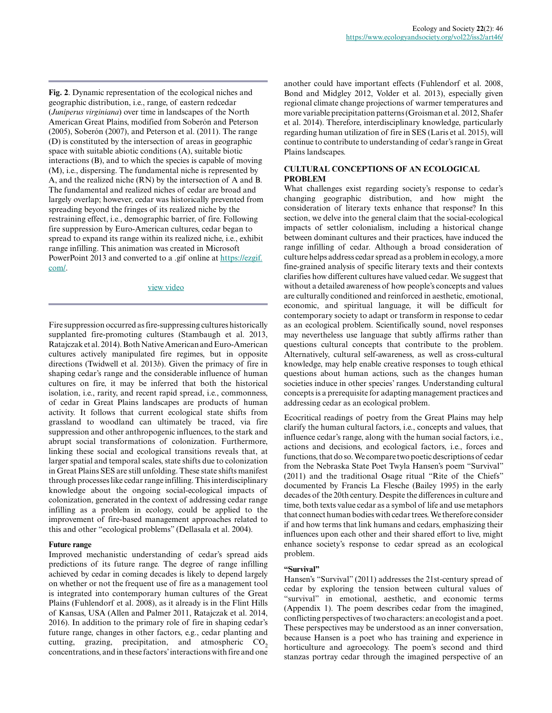**Fig. 2**. Dynamic representation of the ecological niches and geographic distribution, i.e., range, of eastern redcedar (*Juniperus virginiana*) over time in landscapes of the North American Great Plains, modified from Soberón and Peterson (2005), Soberón (2007), and Peterson et al. (2011). The range (D) is constituted by the intersection of areas in geographic space with suitable abiotic conditions (A), suitable biotic interactions (B), and to which the species is capable of moving (M), i.e., dispersing. The fundamental niche is represented by A, and the realized niche (RN) by the intersection of A and B. The fundamental and realized niches of cedar are broad and largely overlap; however, cedar was historically prevented from spreading beyond the fringes of its realized niche by the restraining effect, i.e., demographic barrier, of fire. Following fire suppression by Euro-American cultures, cedar began to spread to expand its range within its realized niche, i.e., exhibit range infilling. This animation was created in Microsoft PowerPoint 2013 and converted to a .gif online at [https://ezgif.](https://ezgif.com/) [com/.](https://ezgif.com/)

#### [view video](https://www.ecologyandsociety.org/9357/figure2.html)

Fire suppression occurred as fire-suppressing cultures historically supplanted fire-promoting cultures (Stambaugh et al. 2013, Ratajczak et al. 2014). Both Native American and Euro-American cultures actively manipulated fire regimes, but in opposite directions (Twidwell et al. 2013*b*). Given the primacy of fire in shaping cedar's range and the considerable influence of human cultures on fire, it may be inferred that both the historical isolation, i.e., rarity, and recent rapid spread, i.e., commonness, of cedar in Great Plains landscapes are products of human activity. It follows that current ecological state shifts from grassland to woodland can ultimately be traced, via fire suppression and other anthropogenic influences, to the stark and abrupt social transformations of colonization. Furthermore, linking these social and ecological transitions reveals that, at larger spatial and temporal scales, state shifts due to colonization in Great Plains SES are still unfolding. These state shifts manifest through processes like cedar range infilling. This interdisciplinary knowledge about the ongoing social-ecological impacts of colonization, generated in the context of addressing cedar range infilling as a problem in ecology, could be applied to the improvement of fire-based management approaches related to this and other "ecological problems" (Dellasala et al. 2004).

## **Future range**

Improved mechanistic understanding of cedar's spread aids predictions of its future range. The degree of range infilling achieved by cedar in coming decades is likely to depend largely on whether or not the frequent use of fire as a management tool is integrated into contemporary human cultures of the Great Plains (Fuhlendorf et al. 2008), as it already is in the Flint Hills of Kansas, USA (Allen and Palmer 2011, Ratajczak et al. 2014, 2016). In addition to the primary role of fire in shaping cedar's future range, changes in other factors, e.g., cedar planting and cutting, grazing, precipitation, and atmospheric CO<sub>2</sub> concentrations, and in these factors' interactions with fire and one

another could have important effects (Fuhlendorf et al. 2008, Bond and Midgley 2012, Volder et al. 2013), especially given regional climate change projections of warmer temperatures and more variable precipitation patterns (Groisman et al. 2012, Shafer et al. 2014). Therefore, interdisciplinary knowledge, particularly regarding human utilization of fire in SES (Laris et al. 2015), will continue to contribute to understanding of cedar's range in Great Plains landscapes.

# **CULTURAL CONCEPTIONS OF AN ECOLOGICAL PROBLEM**

What challenges exist regarding society's response to cedar's changing geographic distribution, and how might the consideration of literary texts enhance that response? In this section, we delve into the general claim that the social-ecological impacts of settler colonialism, including a historical change between dominant cultures and their practices, have induced the range infilling of cedar. Although a broad consideration of culture helps address cedar spread as a problem in ecology, a more fine-grained analysis of specific literary texts and their contexts clarifies how different cultures have valued cedar. We suggest that without a detailed awareness of how people's concepts and values are culturally conditioned and reinforced in aesthetic, emotional, economic, and spiritual language, it will be difficult for contemporary society to adapt or transform in response to cedar as an ecological problem. Scientifically sound, novel responses may nevertheless use language that subtly affirms rather than questions cultural concepts that contribute to the problem. Alternatively, cultural self-awareness, as well as cross-cultural knowledge, may help enable creative responses to tough ethical questions about human actions, such as the changes human societies induce in other species' ranges. Understanding cultural concepts is a prerequisite for adapting management practices and addressing cedar as an ecological problem.

Ecocritical readings of poetry from the Great Plains may help clarify the human cultural factors, i.e., concepts and values, that influence cedar's range, along with the human social factors, i.e., actions and decisions, and ecological factors, i.e., forces and functions, that do so. We compare two poetic descriptions of cedar from the Nebraska State Poet Twyla Hansen's poem "Survival" (2011) and the traditional Osage ritual "Rite of the Chiefs" documented by Francis La Flesche (Bailey 1995) in the early decades of the 20th century. Despite the differences in culture and time, both texts value cedar as a symbol of life and use metaphors that connect human bodies with cedar trees. We therefore consider if and how terms that link humans and cedars, emphasizing their influences upon each other and their shared effort to live, might enhance society's response to cedar spread as an ecological problem.

#### **"Survival"**

Hansen's "Survival" (2011) addresses the 21st-century spread of cedar by exploring the tension between cultural values of "survival" in emotional, aesthetic, and economic terms (Appendix 1). The poem describes cedar from the imagined, conflicting perspectives of two characters: an ecologist and a poet. These perspectives may be understood as an inner conversation, because Hansen is a poet who has training and experience in horticulture and agroecology. The poem's second and third stanzas portray cedar through the imagined perspective of an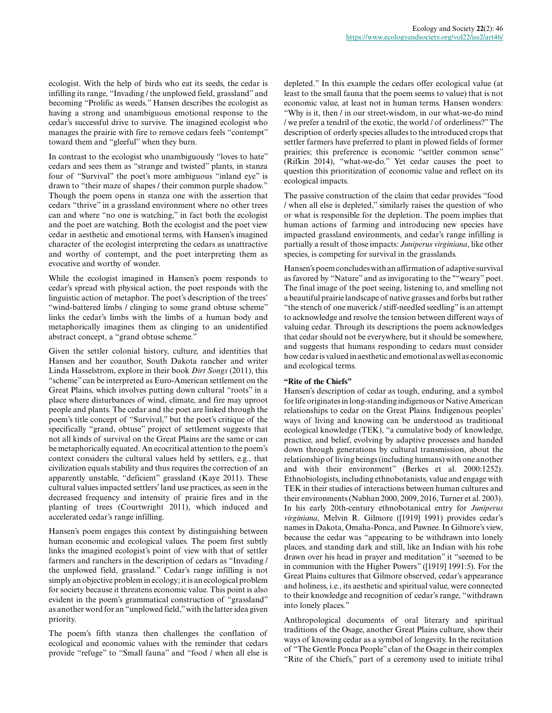ecologist. With the help of birds who eat its seeds, the cedar is infilling its range, "Invading / the unplowed field, grassland" and becoming "Prolific as weeds." Hansen describes the ecologist as having a strong and unambiguous emotional response to the cedar's successful drive to survive. The imagined ecologist who manages the prairie with fire to remove cedars feels "contempt" toward them and "gleeful" when they burn.

In contrast to the ecologist who unambiguously "loves to hate" cedars and sees them as "strange and twisted" plants, in stanza four of "Survival" the poet's more ambiguous "inland eye" is drawn to "their maze of shapes / their common purple shadow." Though the poem opens in stanza one with the assertion that cedars "thrive" in a grassland environment where no other trees can and where "no one is watching," in fact both the ecologist and the poet are watching. Both the ecologist and the poet view cedar in aesthetic and emotional terms, with Hansen's imagined character of the ecologist interpreting the cedars as unattractive and worthy of contempt, and the poet interpreting them as evocative and worthy of wonder.

While the ecologist imagined in Hansen's poem responds to cedar's spread with physical action, the poet responds with the linguistic action of metaphor. The poet's description of the trees' "wind-battered limbs / clinging to some grand obtuse scheme" links the cedar's limbs with the limbs of a human body and metaphorically imagines them as clinging to an unidentified abstract concept, a "grand obtuse scheme."

Given the settler colonial history, culture, and identities that Hansen and her coauthor, South Dakota rancher and writer Linda Hasselstrom, explore in their book *Dirt Songs* (2011), this "scheme" can be interpreted as Euro-American settlement on the Great Plains, which involves putting down cultural "roots" in a place where disturbances of wind, climate, and fire may uproot people and plants. The cedar and the poet are linked through the poem's title concept of "Survival," but the poet's critique of the specifically "grand, obtuse" project of settlement suggests that not all kinds of survival on the Great Plains are the same or can be metaphorically equated. An ecocritical attention to the poem's context considers the cultural values held by settlers, e.g., that civilization equals stability and thus requires the correction of an apparently unstable, "deficient" grassland (Kaye 2011). These cultural values impacted settlers' land use practices, as seen in the decreased frequency and intensity of prairie fires and in the planting of trees (Courtwright 2011), which induced and accelerated cedar's range infilling.

Hansen's poem engages this context by distinguishing between human economic and ecological values. The poem first subtly links the imagined ecologist's point of view with that of settler farmers and ranchers in the description of cedars as "Invading / the unplowed field, grassland." Cedar's range infilling is not simply an objective problem in ecology; it is an ecological problem for society because it threatens economic value. This point is also evident in the poem's grammatical construction of "grassland" as another word for an "unplowed field," with the latter idea given priority.

The poem's fifth stanza then challenges the conflation of ecological and economic values with the reminder that cedars provide "refuge" to "Small fauna" and "food / when all else is depleted." In this example the cedars offer ecological value (at least to the small fauna that the poem seems to value) that is not economic value, at least not in human terms. Hansen wonders: "Why is it, then / in our street-wisdom, in our what-we-do mind / we prefer a tendril of the exotic, the world / of orderliness?" The description of orderly species alludes to the introduced crops that settler farmers have preferred to plant in plowed fields of former prairies; this preference is economic "settler common sense" (Rifkin 2014), "what-we-do." Yet cedar causes the poet to question this prioritization of economic value and reflect on its ecological impacts.

The passive construction of the claim that cedar provides "food / when all else is depleted," similarly raises the question of who or what is responsible for the depletion. The poem implies that human actions of farming and introducing new species have impacted grassland environments, and cedar's range infilling is partially a result of those impacts: *Juniperus virginiana*, like other species, is competing for survival in the grasslands.

Hansen's poem concludes with an affirmation of adaptive survival as favored by "Nature" and as invigorating to the ""weary" poet. The final image of the poet seeing, listening to, and smelling not a beautiful prairie landscape of native grasses and forbs but rather "the stench of one maverick / stiff-needled seedling" is an attempt to acknowledge and resolve the tension between different ways of valuing cedar. Through its descriptions the poem acknowledges that cedar should not be everywhere, but it should be somewhere, and suggests that humans responding to cedars must consider how cedar is valued in aesthetic and emotional as well as economic and ecological terms.

# **"Rite of the Chiefs"**

Hansen's description of cedar as tough, enduring, and a symbol for life originates in long-standing indigenous or Native American relationships to cedar on the Great Plains. Indigenous peoples' ways of living and knowing can be understood as traditional ecological knowledge (TEK), "a cumulative body of knowledge, practice, and belief, evolving by adaptive processes and handed down through generations by cultural transmission, about the relationship of living beings (including humans) with one another and with their environment" (Berkes et al. 2000:1252). Ethnobiologists, including ethnobotanists, value and engage with TEK in their studies of interactions between human cultures and their environments (Nabhan 2000, 2009, 2016, Turner et al. 2003). In his early 20th-century ethnobotanical entry for *Juniperus virginiana*, Melvin R. Gilmore ([1919] 1991) provides cedar's names in Dakota, Omaha-Ponca, and Pawnee. In Gilmore's view, because the cedar was "appearing to be withdrawn into lonely places, and standing dark and still, like an Indian with his robe drawn over his head in prayer and meditation" it "seemed to be in communion with the Higher Powers" ([1919] 1991:5). For the Great Plains cultures that Gilmore observed, cedar's appearance and holiness, i.e., its aesthetic and spiritual value, were connected to their knowledge and recognition of cedar's range, "withdrawn into lonely places."

Anthropological documents of oral literary and spiritual traditions of the Osage, another Great Plains culture, show their ways of knowing cedar as a symbol of longevity. In the recitation of "The Gentle Ponca People" clan of the Osage in their complex "Rite of the Chiefs," part of a ceremony used to initiate tribal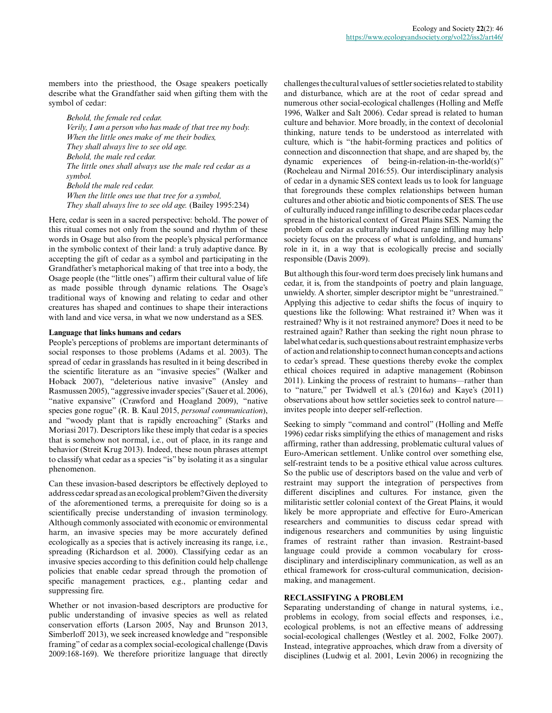members into the priesthood, the Osage speakers poetically describe what the Grandfather said when gifting them with the symbol of cedar:

*Behold, the female red cedar. Verily, I am a person who has made of that tree my body. When the little ones make of me their bodies, They shall always live to see old age. Behold, the male red cedar. The little ones shall always use the male red cedar as a symbol. Behold the male red cedar. When the little ones use that tree for a symbol, They shall always live to see old age.* (Bailey 1995:234)

Here, cedar is seen in a sacred perspective: behold. The power of this ritual comes not only from the sound and rhythm of these words in Osage but also from the people's physical performance in the symbolic context of their land: a truly adaptive dance. By accepting the gift of cedar as a symbol and participating in the Grandfather's metaphorical making of that tree into a body, the Osage people (the "little ones") affirm their cultural value of life as made possible through dynamic relations. The Osage's traditional ways of knowing and relating to cedar and other creatures has shaped and continues to shape their interactions with land and vice versa, in what we now understand as a SES.

## **Language that links humans and cedars**

People's perceptions of problems are important determinants of social responses to those problems (Adams et al. 2003). The spread of cedar in grasslands has resulted in it being described in the scientific literature as an "invasive species" (Walker and Hoback 2007), "deleterious native invasive" (Ansley and Rasmussen 2005), "aggressive invader species" (Sauer et al. 2006), "native expansive" (Crawford and Hoagland 2009), "native species gone rogue" (R. B. Kaul 2015, *personal communication*), and "woody plant that is rapidly encroaching" (Starks and Moriasi 2017). Descriptors like these imply that cedar is a species that is somehow not normal, i.e., out of place, in its range and behavior (Streit Krug 2013). Indeed, these noun phrases attempt to classify what cedar as a species "is" by isolating it as a singular phenomenon.

Can these invasion-based descriptors be effectively deployed to address cedar spread as an ecological problem? Given the diversity of the aforementioned terms, a prerequisite for doing so is a scientifically precise understanding of invasion terminology. Although commonly associated with economic or environmental harm, an invasive species may be more accurately defined ecologically as a species that is actively increasing its range, i.e., spreading (Richardson et al. 2000). Classifying cedar as an invasive species according to this definition could help challenge policies that enable cedar spread through the promotion of specific management practices, e.g., planting cedar and suppressing fire.

Whether or not invasion-based descriptors are productive for public understanding of invasive species as well as related conservation efforts (Larson 2005, Nay and Brunson 2013, Simberloff 2013), we seek increased knowledge and "responsible framing" of cedar as a complex social-ecological challenge (Davis 2009:168-169). We therefore prioritize language that directly

challenges the cultural values of settler societies related to stability and disturbance, which are at the root of cedar spread and numerous other social-ecological challenges (Holling and Meffe 1996, Walker and Salt 2006). Cedar spread is related to human culture and behavior. More broadly, in the context of decolonial thinking, nature tends to be understood as interrelated with culture, which is "the habit-forming practices and politics of connection and disconnection that shape, and are shaped by, the dynamic experiences of being-in-relation-in-the-world(s)" (Rocheleau and Nirmal 2016:55). Our interdisciplinary analysis of cedar in a dynamic SES context leads us to look for language that foregrounds these complex relationships between human cultures and other abiotic and biotic components of SES. The use of culturally induced range infilling to describe cedar places cedar spread in the historical context of Great Plains SES. Naming the problem of cedar as culturally induced range infilling may help society focus on the process of what is unfolding, and humans' role in it, in a way that is ecologically precise and socially responsible (Davis 2009).

But although this four-word term does precisely link humans and cedar, it is, from the standpoints of poetry and plain language, unwieldy. A shorter, simpler descriptor might be "unrestrained." Applying this adjective to cedar shifts the focus of inquiry to questions like the following: What restrained it? When was it restrained? Why is it not restrained anymore? Does it need to be restrained again? Rather than seeking the right noun phrase to label what cedar is, such questions about restraint emphasize verbs of action and relationship to connect human concepts and actions to cedar's spread. These questions thereby evoke the complex ethical choices required in adaptive management (Robinson 2011). Linking the process of restraint to humans—rather than to "nature," per Twidwell et al.'s (2016*a*) and Kaye's (2011) observations about how settler societies seek to control nature invites people into deeper self-reflection.

Seeking to simply "command and control" (Holling and Meffe 1996) cedar risks simplifying the ethics of management and risks affirming, rather than addressing, problematic cultural values of Euro-American settlement. Unlike control over something else, self-restraint tends to be a positive ethical value across cultures. So the public use of descriptors based on the value and verb of restraint may support the integration of perspectives from different disciplines and cultures. For instance, given the militaristic settler colonial context of the Great Plains, it would likely be more appropriate and effective for Euro-American researchers and communities to discuss cedar spread with indigenous researchers and communities by using linguistic frames of restraint rather than invasion. Restraint-based language could provide a common vocabulary for crossdisciplinary and interdisciplinary communication, as well as an ethical framework for cross-cultural communication, decisionmaking, and management.

### **RECLASSIFYING A PROBLEM**

Separating understanding of change in natural systems, i.e., problems in ecology, from social effects and responses, i.e., ecological problems, is not an effective means of addressing social-ecological challenges (Westley et al. 2002, Folke 2007). Instead, integrative approaches, which draw from a diversity of disciplines (Ludwig et al. 2001, Levin 2006) in recognizing the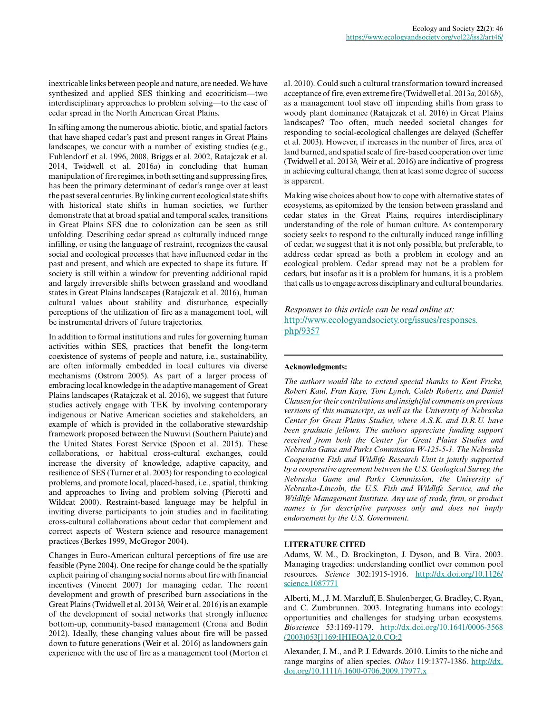inextricable links between people and nature, are needed. We have synthesized and applied SES thinking and ecocriticism—two interdisciplinary approaches to problem solving—to the case of cedar spread in the North American Great Plains.

In sifting among the numerous abiotic, biotic, and spatial factors that have shaped cedar's past and present ranges in Great Plains landscapes, we concur with a number of existing studies (e.g., Fuhlendorf et al. 1996, 2008, Briggs et al. 2002, Ratajczak et al. 2014, Twidwell et al. 2016*a*) in concluding that human manipulation of fire regimes, in both setting and suppressing fires, has been the primary determinant of cedar's range over at least the past several centuries. By linking current ecological state shifts with historical state shifts in human societies, we further demonstrate that at broad spatial and temporal scales, transitions in Great Plains SES due to colonization can be seen as still unfolding. Describing cedar spread as culturally induced range infilling, or using the language of restraint, recognizes the causal social and ecological processes that have influenced cedar in the past and present, and which are expected to shape its future. If society is still within a window for preventing additional rapid and largely irreversible shifts between grassland and woodland states in Great Plains landscapes (Ratajczak et al. 2016), human cultural values about stability and disturbance, especially perceptions of the utilization of fire as a management tool, will be instrumental drivers of future trajectories.

In addition to formal institutions and rules for governing human activities within SES, practices that benefit the long-term coexistence of systems of people and nature, i.e., sustainability, are often informally embedded in local cultures via diverse mechanisms (Ostrom 2005). As part of a larger process of embracing local knowledge in the adaptive management of Great Plains landscapes (Ratajczak et al. 2016), we suggest that future studies actively engage with TEK by involving contemporary indigenous or Native American societies and stakeholders, an example of which is provided in the collaborative stewardship framework proposed between the Nuwuvi (Southern Paiute) and the United States Forest Service (Spoon et al. 2015). These collaborations, or habitual cross-cultural exchanges, could increase the diversity of knowledge, adaptive capacity, and resilience of SES (Turner et al. 2003) for responding to ecological problems, and promote local, placed-based, i.e., spatial, thinking and approaches to living and problem solving (Pierotti and Wildcat 2000). Restraint-based language may be helpful in inviting diverse participants to join studies and in facilitating cross-cultural collaborations about cedar that complement and correct aspects of Western science and resource management practices (Berkes 1999, McGregor 2004).

Changes in Euro-American cultural perceptions of fire use are feasible (Pyne 2004). One recipe for change could be the spatially explicit pairing of changing social norms about fire with financial incentives (Vincent 2007) for managing cedar. The recent development and growth of prescribed burn associations in the Great Plains (Twidwell et al. 2013*b,* Weir et al. 2016) is an example of the development of social networks that strongly influence bottom-up, community-based management (Crona and Bodin 2012). Ideally, these changing values about fire will be passed down to future generations (Weir et al. 2016) as landowners gain experience with the use of fire as a management tool (Morton et al. 2010). Could such a cultural transformation toward increased acceptance of fire, even extreme fire (Twidwell et al. 2013*a,* 2016*b*), as a management tool stave off impending shifts from grass to woody plant dominance (Ratajczak et al. 2016) in Great Plains landscapes? Too often, much needed societal changes for responding to social-ecological challenges are delayed (Scheffer et al. 2003). However, if increases in the number of fires, area of land burned, and spatial scale of fire-based cooperation over time (Twidwell et al. 2013*b,* Weir et al. 2016) are indicative of progress in achieving cultural change, then at least some degree of success is apparent.

Making wise choices about how to cope with alternative states of ecosystems, as epitomized by the tension between grassland and cedar states in the Great Plains, requires interdisciplinary understanding of the role of human culture. As contemporary society seeks to respond to the culturally induced range infilling of cedar, we suggest that it is not only possible, but preferable, to address cedar spread as both a problem in ecology and an ecological problem. Cedar spread may not be a problem for cedars, but insofar as it is a problem for humans, it is a problem that calls us to engage across disciplinary and cultural boundaries.

*Responses to this article can be read online at:* [http://www.ecologyandsociety.org/issues/responses.](http://www.ecologyandsociety.org/issues/responses.php/9357) [php/9357](http://www.ecologyandsociety.org/issues/responses.php/9357)

#### **Acknowledgments:**

*The authors would like to extend special thanks to Kent Fricke, Robert Kaul, Fran Kaye, Tom Lynch, Caleb Roberts, and Daniel Clausen for their contributions and insightful comments on previous versions of this manuscript, as well as the University of Nebraska Center for Great Plains Studies, where A.S.K. and D.R.U. have been graduate fellows. The authors appreciate funding support received from both the Center for Great Plains Studies and Nebraska Game and Parks Commission W-125-5-1. The Nebraska Cooperative Fish and Wildlife Research Unit is jointly supported by a cooperative agreement between the U.S. Geological Survey, the Nebraska Game and Parks Commission, the University of Nebraska-Lincoln, the U.S. Fish and Wildlife Service, and the Wildlife Management Institute. Any use of trade, firm, or product names is for descriptive purposes only and does not imply endorsement by the U.S. Government.*

#### **LITERATURE CITED**

Adams, W. M., D. Brockington, J. Dyson, and B. Vira. 2003. Managing tragedies: understanding conflict over common pool resources. *Science* 302:1915-1916. [http://dx.doi.org/10.1126/](http://dx.doi.org/10.1126%2Fscience.1087771) [science.1087771](http://dx.doi.org/10.1126%2Fscience.1087771)

Alberti, M., J. M. Marzluff, E. Shulenberger, G. Bradley, C. Ryan, and C. Zumbrunnen. 2003. Integrating humans into ecology: opportunities and challenges for studying urban ecosystems. *Bioscience* 53:1169-1179. [http://dx.doi.org/10.1641/0006-3568](http://dx.doi.org/10.1641/0006-3568(2003)053[1169:IHIEOA]2.0.CO;2) [\(2003\)053\[1169:IHIEOA\]2.0.CO;2](http://dx.doi.org/10.1641/0006-3568(2003)053[1169:IHIEOA]2.0.CO;2) 

Alexander, J. M., and P. J. Edwards. 2010. Limits to the niche and range margins of alien species. *Oikos* 119:1377-1386. [http://dx.](http://dx.doi.org/10.1111%2Fj.1600-0706.2009.17977.x) [doi.org/10.1111/j.1600-0706.2009.17977.x](http://dx.doi.org/10.1111%2Fj.1600-0706.2009.17977.x)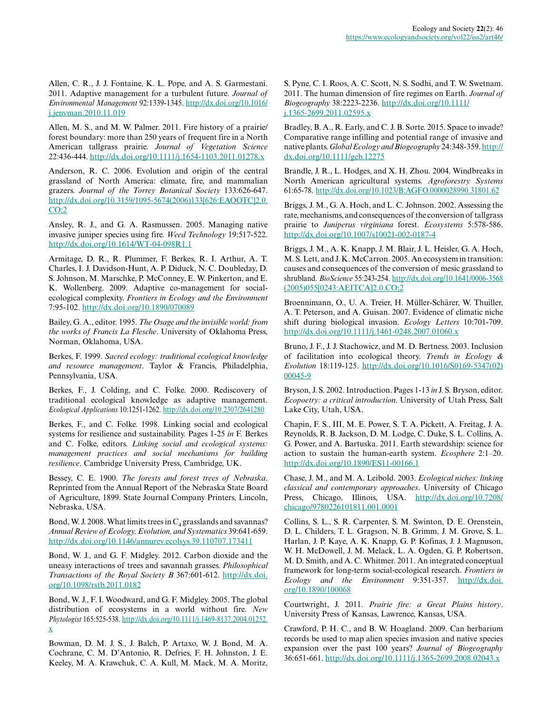Allen, C. R., J. J. Fontaine, K. L. Pope, and A. S. Garmestani. 2011. Adaptive management for a turbulent future. *Journal of Environmental Management* 92:1339-1345. [http://dx.doi.org/10.1016/](http://dx.doi.org/10.1016%2Fj.jenvman.2010.11.019) [j.jenvman.2010.11.019](http://dx.doi.org/10.1016%2Fj.jenvman.2010.11.019)

Allen, M. S., and M. W. Palmer. 2011. Fire history of a prairie/ forest boundary: more than 250 years of frequent fire in a North American tallgrass prairie. *Journal of Vegetation Science* 22:436-444. [http://dx.doi.org/10.1111/j.1654-1103.2011.01278.x](http://dx.doi.org/10.1111%2Fj.1654-1103.2011.01278.x)

Anderson, R. C. 2006. Evolution and origin of the central grassland of North America: climate, fire, and mammalian grazers. *Journal of the Torrey Botanical Society* 133:626-647. [http://dx.doi.org/10.3159/1095-5674\(2006\)133\[626:EAOOTC\]2.0.](http://dx.doi.org/10.3159/1095-5674(2006)133[626:EAOOTC]2.0.CO;2)  $CO:2$ 

Ansley, R. J., and G. A. Rasmussen. 2005. Managing native invasive juniper species using fire. *Weed Technology* 19:517-522. [http://dx.doi.org/10.1614/WT-04-098R1.1](http://dx.doi.org/10.1614%2FWT-04-098R1.1) 

Armitage, D. R., R. Plummer, F. Berkes, R. I. Arthur, A. T. Charles, I. J. Davidson-Hunt, A. P. Diduck, N. C. Doubleday, D. S. Johnson, M. Marschke, P. McConney, E. W. Pinkerton, and E. K. Wollenberg. 2009. Adaptive co-management for socialecological complexity. *Frontiers in Ecology and the Environment* 7:95-102. [http://dx.doi.org/10.1890/070089](http://dx.doi.org/10.1890%2F070089)

Bailey, G. A., editor. 1995. *The Osage and the invisible world: from the works of Francis La Flesche*. University of Oklahoma Press, Norman, Oklahoma, USA.

Berkes, F. 1999. *Sacred ecology: traditional ecological knowledge and resource management*. Taylor & Francis, Philadelphia, Pennsylvania, USA.

Berkes, F., J. Colding, and C. Folke. 2000. Rediscovery of traditional ecological knowledge as adaptive management. *Ecological Applications* 10:1251-1262. [http://dx.doi.org/10.2307/2641280](http://dx.doi.org/10.2307%2F2641280)

Berkes, F., and C. Folke. 1998. Linking social and ecological systems for resilience and sustainability. Pages 1-25 *in* F. Berkes and C. Folke, editors. *Linking social and ecological systems: management practices and social mechanisms for building resilience*. Cambridge University Press, Cambridge, UK.

Bessey, C. E. 1900. *The forests and forest trees of Nebraska*. Reprinted from the Annual Report of the Nebraska State Board of Agriculture, 1899. State Journal Company Printers, Lincoln, Nebraska, USA.

Bond, W. J. 2008. What limits trees in  $C_4$  grasslands and savannas? *Annual Review of Ecology, Evolution, and Systematics* 39:641-659. [http://dx.doi.org/10.1146/annurev.ecolsys.39.110707.173411](http://dx.doi.org/10.1146%2Fannurev.ecolsys.39.110707.173411)

Bond, W. J., and G. F. Midgley. 2012. Carbon dioxide and the uneasy interactions of trees and savannah grasses. *Philosophical Transactions of the Royal Society B* 367:601-612. [http://dx.doi.](http://dx.doi.org/10.1098%2Frstb.2011.0182) [org/10.1098/rstb.2011.0182](http://dx.doi.org/10.1098%2Frstb.2011.0182)

Bond, W. J., F. I. Woodward, and G. F. Midgley. 2005. The global distribution of ecosystems in a world without fire. *New Phytologist* 165:525-538. [http://dx.doi.org/10.1111/j.1469-8137.2004.01252.](http://dx.doi.org/10.1111%2Fj.1469-8137.2004.01252.x) [x](http://dx.doi.org/10.1111%2Fj.1469-8137.2004.01252.x)

Bowman, D. M. J. S., J. Balch, P. Artaxo, W. J. Bond, M. A. Cochrane, C. M. D'Antonio, R. Defries, F. H. Johnston, J. E. Keeley, M. A. Krawchuk, C. A. Kull, M. Mack, M. A. Moritz, S. Pyne, C. I. Roos, A. C. Scott, N. S. Sodhi, and T. W. Swetnam. 2011. The human dimension of fire regimes on Earth. *Journal of Biogeography* 38:2223-2236. [http://dx.doi.org/10.1111/](http://dx.doi.org/10.1111%2Fj.1365-2699.2011.02595.x) [j.1365-2699.2011.02595.x](http://dx.doi.org/10.1111%2Fj.1365-2699.2011.02595.x)

Bradley, B. A., R. Early, and C. J. B. Sorte. 2015. Space to invade? Comparative range infilling and potential range of invasive and native plants. *Global Ecology and Biogeography* 24:348-359. [http://](http://dx.doi.org/10.1111%2Fgeb.12275) [dx.doi.org/10.1111/geb.12275](http://dx.doi.org/10.1111%2Fgeb.12275)

Brandle, J. R., L. Hodges, and X. H. Zhou. 2004. Windbreaks in North American agricultural systems. *Agroforestry Systems* 61:65-78. [http://dx.doi.org/10.1023/B:AGFO.0000028990.31801.62](http://dx.doi.org/10.1023%2FB%3AAGFO.0000028990.31801.62) 

Briggs, J. M., G. A. Hoch, and L. C. Johnson. 2002. Assessing the rate, mechanisms, and consequences of the conversion of tallgrass prairie to *Juniperus virginiana* forest. *Ecosystems* 5:578-586. [http://dx.doi.org/10.1007/s10021-002-0187-4](http://dx.doi.org/10.1007%2Fs10021-002-0187-4)

Briggs, J. M., A. K. Knapp, J. M. Blair, J. L. Heisler, G. A. Hoch, M. S. Lett, and J. K. McCarron. 2005. An ecosystem in transition: causes and consequences of the conversion of mesic grassland to shrubland. *BioScience* 55:243-254. [http://dx.doi.org/10.1641/0006-3568](http://dx.doi.org/10.1641%2F0006-3568%282005%29055%5B0243%3AAEITCA%5D2.0.CO%3B2) [\(2005\)055\[0243:AEITCA\]2.0.CO;2](http://dx.doi.org/10.1641%2F0006-3568%282005%29055%5B0243%3AAEITCA%5D2.0.CO%3B2) 

Broennimann, O., U. A. Treier, H. Müller-Schärer, W. Thuiller, A. T. Peterson, and A. Guisan. 2007. Evidence of climatic niche shift during biological invasion. *Ecology Letters* 10:701-709. [http://dx.doi.org/10.1111/j.1461-0248.2007.01060.x](http://dx.doi.org/10.1111%2Fj.1461-0248.2007.01060.x) 

Bruno, J. F., J. J. Stachowicz, and M. D. Bertness. 2003. Inclusion of facilitation into ecological theory. *Trends in Ecology & Evolution* 18:119-125. [http://dx.doi.org/10.1016/S0169-5347\(02\)](http://dx.doi.org/10.1016/S0169-5347(02)00045-9) [00045-9](http://dx.doi.org/10.1016/S0169-5347(02)00045-9) 

Bryson, J. S. 2002. Introduction. Pages 1-13 *in* J. S. Bryson, editor. *Ecopoetry: a critical introduction*. University of Utah Press, Salt Lake City, Utah, USA.

Chapin, F. S., III, M. E. Power, S. T. A. Pickett, A. Freitag, J. A. Reynolds, R. B. Jackson, D. M. Lodge, C. Duke, S. L. Collins, A. G. Power, and A. Bartuska. 2011. Earth stewardship: science for action to sustain the human-earth system. *Ecosphere* 2:1–20. [http://dx.doi.org/10.1890/ES11-00166.1](http://dx.doi.org/10.1890%2FES11-00166.1) 

Chase, J. M., and M. A. Leibold. 2003. *Ecological niches: linking classical and contemporary approaches*. University of Chicago Press, Chicago, Illinois, USA. [http://dx.doi.org/10.7208/](http://dx.doi.org/10.7208%2Fchicago%2F9780226101811.001.0001) [chicago/9780226101811.001.0001](http://dx.doi.org/10.7208%2Fchicago%2F9780226101811.001.0001)

Collins, S. L., S. R. Carpenter, S. M. Swinton, D. E. Orenstein, D. L. Childers, T. L. Gragson, N. B. Grimm, J. M. Grove, S. L. Harlan, J. P. Kaye, A. K. Knapp, G. P. Kofinas, J. J. Magnuson, W. H. McDowell, J. M. Melack, L. A. Ogden, G. P. Robertson, M. D. Smith, and A. C. Whitmer. 2011. An integrated conceptual framework for long-term social-ecological research. *Frontiers in Ecology and the Environment* 9:351-357. [http://dx.doi.](http://dx.doi.org/10.1890%2F100068) [org/10.1890/100068](http://dx.doi.org/10.1890%2F100068)

Courtwright, J. 2011. *Prairie fire: a Great Plains history*. University Press of Kansas, Lawrence, Kansas, USA.

Crawford, P. H. C., and B. W. Hoagland. 2009. Can herbarium records be used to map alien species invasion and native species expansion over the past 100 years? *Journal of Biogeography* 36:651-661. [http://dx.doi.org/10.1111/j.1365-2699.2008.02043.x](http://dx.doi.org/10.1111%2Fj.1365-2699.2008.02043.x)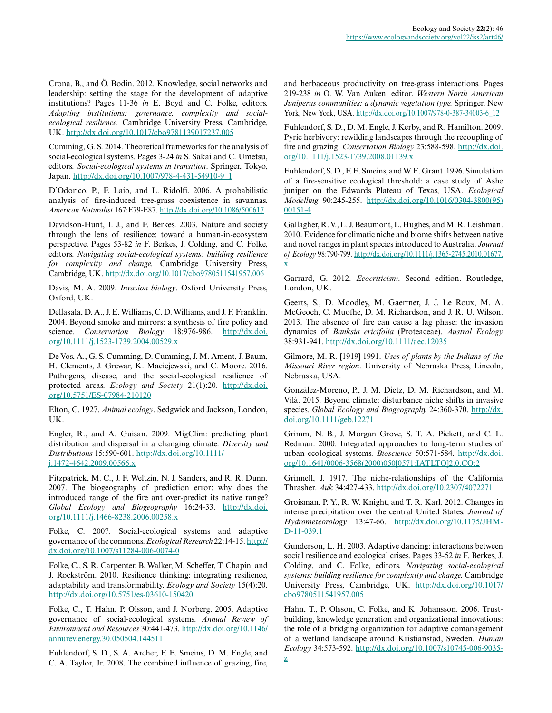Crona, B., and Ö. Bodin. 2012. Knowledge, social networks and leadership: setting the stage for the development of adaptive institutions? Pages 11-36 *in* E. Boyd and C. Folke, editors. *Adapting institutions: governance, complexity and socialecological resilience.* Cambridge University Press, Cambridge, UK. [http://dx.doi.org/10.1017/cbo9781139017237.005](http://dx.doi.org/10.1017%2Fcbo9781139017237.005)

Cumming, G. S. 2014. Theoretical frameworks for the analysis of social-ecological systems. Pages 3-24 *in* S. Sakai and C. Umetsu, editors. *Social-ecological systems in transition*. Springer, Tokyo, Japan. [http://dx.doi.org/10.1007/978-4-431-54910-9\\_1](http://dx.doi.org/10.1007%2F978-4-431-54910-9_1) 

D'Odorico, P., F. Laio, and L. Ridolfi. 2006. A probabilistic analysis of fire-induced tree-grass coexistence in savannas. *American Naturalist* 167:E79-E87. [http://dx.doi.org/10.1086/500617](http://dx.doi.org/10.1086%2F500617) 

Davidson-Hunt, I. J., and F. Berkes. 2003. Nature and society through the lens of resilience: toward a human-in-ecosystem perspective. Pages 53-82 *in* F. Berkes, J. Colding, and C. Folke, editors. *Navigating social-ecological systems: building resilience for complexity and change.* Cambridge University Press, Cambridge, UK. [http://dx.doi.org/10.1017/cbo9780511541957.006](http://dx.doi.org/10.1017%2Fcbo9780511541957.006) 

Davis, M. A. 2009. *Invasion biology*. Oxford University Press, Oxford, UK.

Dellasala, D. A., J. E. Williams, C. D. Williams, and J. F. Franklin. 2004. Beyond smoke and mirrors: a synthesis of fire policy and science. *Conservation Biology* 18:976-986. [http://dx.doi.](http://dx.doi.org/10.1111%2Fj.1523-1739.2004.00529.x) [org/10.1111/j.1523-1739.2004.00529.x](http://dx.doi.org/10.1111%2Fj.1523-1739.2004.00529.x)

De Vos, A., G. S. Cumming, D. Cumming, J. M. Ament, J. Baum, H. Clements, J. Grewar, K. Maciejewski, and C. Moore. 2016. Pathogens, disease, and the social-ecological resilience of protected areas. *Ecology and Society* 21(1):20. [http://dx.doi.](http://dx.doi.org/10.5751%2FES-07984-210120) [org/10.5751/ES-07984-210120](http://dx.doi.org/10.5751%2FES-07984-210120) 

Elton, C. 1927. *Animal ecology*. Sedgwick and Jackson, London, UK.

Engler, R., and A. Guisan. 2009. MigClim: predicting plant distribution and dispersal in a changing climate. *Diversity and Distributions* 15:590-601. [http://dx.doi.org/10.1111/](http://dx.doi.org/10.1111%2Fj.1472-4642.2009.00566.x) [j.1472-4642.2009.00566.x](http://dx.doi.org/10.1111%2Fj.1472-4642.2009.00566.x)

Fitzpatrick, M. C., J. F. Weltzin, N. J. Sanders, and R. R. Dunn. 2007. The biogeography of prediction error: why does the introduced range of the fire ant over-predict its native range? *Global Ecology and Biogeography* 16:24-33. [http://dx.doi.](http://dx.doi.org/10.1111%2Fj.1466-8238.2006.00258.x) [org/10.1111/j.1466-8238.2006.00258.x](http://dx.doi.org/10.1111%2Fj.1466-8238.2006.00258.x)

Folke, C. 2007. Social-ecological systems and adaptive governance of the commons. *Ecological Research* 22:14-15. [http://](http://dx.doi.org/10.1007%2Fs11284-006-0074-0) [dx.doi.org/10.1007/s11284-006-0074-0](http://dx.doi.org/10.1007%2Fs11284-006-0074-0) 

Folke, C., S. R. Carpenter, B. Walker, M. Scheffer, T. Chapin, and J. Rockström. 2010. Resilience thinking: integrating resilience, adaptability and transformability. *Ecology and Society* 15(4):20. [http://dx.doi.org/10.5751/es-03610-150420](http://dx.doi.org/10.5751%2Fes-03610-150420)

Folke, C., T. Hahn, P. Olsson, and J. Norberg. 2005. Adaptive governance of social-ecological systems. *Annual Review of Environment and Resources* 30:441-473. [http://dx.doi.org/10.1146/](http://dx.doi.org/10.1146%2Fannurev.energy.30.050504.144511) [annurev.energy.30.050504.144511](http://dx.doi.org/10.1146%2Fannurev.energy.30.050504.144511) 

Fuhlendorf, S. D., S. A. Archer, F. E. Smeins, D. M. Engle, and C. A. Taylor, Jr. 2008. The combined influence of grazing, fire, and herbaceous productivity on tree-grass interactions. Pages 219-238 *in* O. W. Van Auken, editor. *Western North American Juniperus communities: a dynamic vegetation type.* Springer, New York, New York, USA. [http://dx.doi.org/10.1007/978-0-387-34003-6\\_12](http://dx.doi.org/10.1007%2F978-0-387-34003-6_12)

Fuhlendorf, S. D., D. M. Engle, J. Kerby, and R. Hamilton. 2009. Pyric herbivory: rewilding landscapes through the recoupling of fire and grazing. *Conservation Biology* 23:588-598. [http://dx.doi.](http://dx.doi.org/10.1111%2Fj.1523-1739.2008.01139.x) [org/10.1111/j.1523-1739.2008.01139.x](http://dx.doi.org/10.1111%2Fj.1523-1739.2008.01139.x)

Fuhlendorf, S. D., F. E. Smeins, and W. E. Grant. 1996. Simulation of a fire-sensitive ecological threshold: a case study of Ashe juniper on the Edwards Plateau of Texas, USA. *Ecological Modelling* 90:245-255. [http://dx.doi.org/10.1016/0304-3800\(95\)](http://dx.doi.org/10.1016%2F0304-3800%2895%2900151-4) [00151-4](http://dx.doi.org/10.1016%2F0304-3800%2895%2900151-4) 

Gallagher, R. V., L. J. Beaumont, L. Hughes, and M. R. Leishman. 2010. Evidence for climatic niche and biome shifts between native and novel ranges in plant species introduced to Australia. *Journal of Ecology* 98:790-799. [http://dx.doi.org/10.1111/j.1365-2745.2010.01677.](http://dx.doi.org/10.1111%2Fj.1365-2745.2010.01677.x) [x](http://dx.doi.org/10.1111%2Fj.1365-2745.2010.01677.x) 

Garrard, G. 2012. *Ecocriticism*. Second edition. Routledge, London, UK.

Geerts, S., D. Moodley, M. Gaertner, J. J. Le Roux, M. A. McGeoch, C. Muofhe, D. M. Richardson, and J. R. U. Wilson. 2013. The absence of fire can cause a lag phase: the invasion dynamics of *Banksia ericifolia* (Proteaceae). *Austral Ecology* 38:931-941. [http://dx.doi.org/10.1111/aec.12035](http://dx.doi.org/10.1111%2Faec.12035) 

Gilmore, M. R. [1919] 1991. *Uses of plants by the Indians of the Missouri River region*. University of Nebraska Press, Lincoln, Nebraska, USA.

González-Moreno, P., J. M. Dietz, D. M. Richardson, and M. Vilà. 2015. Beyond climate: disturbance niche shifts in invasive species. *Global Ecology and Biogeography* 24:360-370. [http://dx.](http://dx.doi.org/10.1111%2Fgeb.12271) [doi.org/10.1111/geb.12271](http://dx.doi.org/10.1111%2Fgeb.12271) 

Grimm, N. B., J. Morgan Grove, S. T. A. Pickett, and C. L. Redman. 2000. Integrated approaches to long-term studies of urban ecological systems. *Bioscience* 50:571-584. [http://dx.doi.](http://dx.doi.org/10.1641%2F0006-3568%282000%29050%5B0571%3AIATLTO%5D2.0.CO%3B2) [org/10.1641/0006-3568\(2000\)050\[0571:IATLTO\]2.0.CO;2](http://dx.doi.org/10.1641%2F0006-3568%282000%29050%5B0571%3AIATLTO%5D2.0.CO%3B2)

Grinnell, J. 1917. The niche-relationships of the California Thrasher. *Auk* 34:427-433. [http://dx.doi.org/10.2307/4072271](http://dx.doi.org/10.2307%2F4072271) 

Groisman, P. Y., R. W. Knight, and T. R. Karl. 2012. Changes in intense precipitation over the central United States. *Journal of Hydrometeorology* 13:47-66. [http://dx.doi.org/10.1175/JHM-](http://dx.doi.org/10.1175%2FJHM-D-11-039.1)[D-11-039.1](http://dx.doi.org/10.1175%2FJHM-D-11-039.1) 

Gunderson, L. H. 2003. Adaptive dancing: interactions between social resilience and ecological crises. Pages 33-52 *in* F. Berkes, J. Colding, and C. Folke, editors. *Navigating social-ecological systems: building resilience for complexity and change.* Cambridge University Press, Cambridge, UK. [http://dx.doi.org/10.1017/](http://dx.doi.org/10.1017%2Fcbo9780511541957.005) [cbo9780511541957.005](http://dx.doi.org/10.1017%2Fcbo9780511541957.005)

Hahn, T., P. Olsson, C. Folke, and K. Johansson. 2006. Trustbuilding, knowledge generation and organizational innovations: the role of a bridging organization for adaptive comanagement of a wetland landscape around Kristianstad, Sweden. *Human Ecology* 34:573-592. [http://dx.doi.org/10.1007/s10745-006-9035-](http://dx.doi.org/10.1007%2Fs10745-006-9035-z)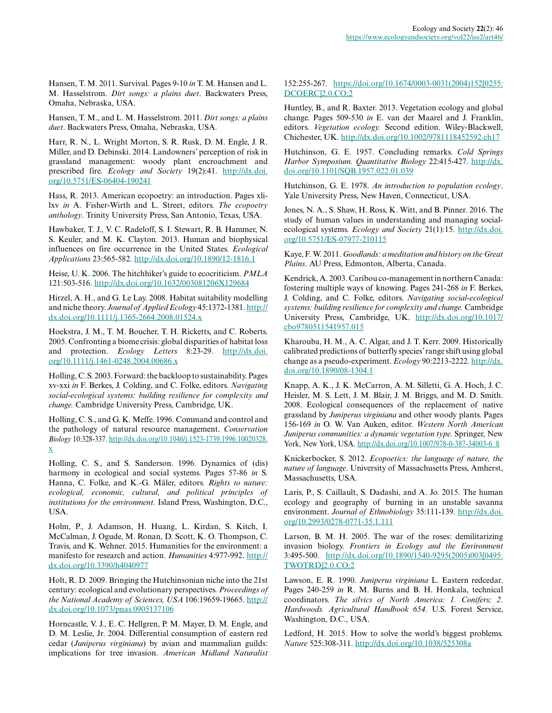Hansen, T. M. 2011. Survival. Pages 9-10 *in* T. M. Hansen and L. M. Hasselstrom. *Dirt songs: a plains duet*. Backwaters Press, Omaha, Nebraska, USA.

Hansen, T. M., and L. M. Hasselstrom. 2011. *Dirt songs: a plains duet*. Backwaters Press, Omaha, Nebraska, USA.

Harr, R. N., L. Wright Morton, S. R. Rusk, D. M. Engle, J. R. Miller, and D. Debinski. 2014. Landowners' perception of risk in grassland management: woody plant encroachment and prescribed fire. *Ecology and Society* 19(2):41. [http://dx.doi.](http://dx.doi.org/10.5751%2FES-06404-190241) [org/10.5751/ES-06404-190241](http://dx.doi.org/10.5751%2FES-06404-190241) 

Hass, R. 2013. American ecopoetry: an introduction. Pages xlilxv *in* A. Fisher-Wirth and L. Street, editors. *The ecopoetry anthology*. Trinity University Press, San Antonio, Texas, USA.

Hawbaker, T. J., V. C. Radeloff, S. I. Stewart, R. B. Hammer, N. S. Keuler, and M. K. Clayton. 2013. Human and biophysical influences on fire occurrence in the United States. *Ecological Applications* 23:565-582. [http://dx.doi.org/10.1890/12-1816.1](http://dx.doi.org/10.1890%2F12-1816.1)

Heise, U. K. 2006. The hitchhiker's guide to ecocriticism. *PMLA* 121:503-516. [http://dx.doi.org/10.1632/003081206X129684](http://dx.doi.org/10.1632%2F003081206X129684)

Hirzel, A. H., and G. Le Lay. 2008. Habitat suitability modelling and niche theory. *Journal of Applied Ecology* 45:1372-1381. [http://](http://dx.doi.org/10.1111%2Fj.1365-2664.2008.01524.x) [dx.doi.org/10.1111/j.1365-2664.2008.01524.x](http://dx.doi.org/10.1111%2Fj.1365-2664.2008.01524.x)

Hoekstra, J. M., T. M. Boucher, T. H. Ricketts, and C. Roberts. 2005. Confronting a biome crisis: global disparities of habitat loss and protection. *Ecology Letters* 8:23-29. [http://dx.doi.](http://dx.doi.org/10.1111%2Fj.1461-0248.2004.00686.x) [org/10.1111/j.1461-0248.2004.00686.x](http://dx.doi.org/10.1111%2Fj.1461-0248.2004.00686.x)

Holling, C. S. 2003. Forward: the backloop to sustainability. Pages xv-xxi *in* F. Berkes, J. Colding, and C. Folke, editors. *Navigating social-ecological systems: building resilience for complexity and change.* Cambridge University Press, Cambridge, UK.

Holling, C. S., and G. K. Meffe. 1996. Command and control and the pathology of natural resource management. *Conservation Biology* 10:328-337. [http://dx.doi.org/10.1046/j.1523-1739.1996.10020328.](http://dx.doi.org/10.1046%2Fj.1523-1739.1996.10020328.x) [x](http://dx.doi.org/10.1046%2Fj.1523-1739.1996.10020328.x)

Holling, C. S., and S. Sanderson. 1996. Dynamics of (dis) harmony in ecological and social systems. Pages 57-86 *in* S. Hanna, C. Folke, and K.-G. Mäler, editors. *Rights to nature: ecological, economic, cultural, and political principles of institutions for the environment.* Island Press, Washington, D.C., USA.

Holm, P., J. Adamson, H. Huang, L. Kirdan, S. Kitch, I. McCalman, J. Ogude, M. Ronan, D. Scott, K. O. Thompson, C. Travis, and K. Wehner. 2015. Humanities for the environment: a manifesto for research and action. *Humanities* 4:977-992. [http://](http://dx.doi.org/10.3390%2Fh4040977) [dx.doi.org/10.3390/h4040977](http://dx.doi.org/10.3390%2Fh4040977)

Holt, R. D. 2009. Bringing the Hutchinsonian niche into the 21st century: ecological and evolutionary perspectives. *Proceedings of the National Academy of Sciences, USA* 106:19659-19665. [http://](http://dx.doi.org/10.1073%2Fpnas.0905137106) [dx.doi.org/10.1073/pnas.0905137106](http://dx.doi.org/10.1073%2Fpnas.0905137106) 

Horncastle, V. J., E. C. Hellgren, P. M. Mayer, D. M. Engle, and D. M. Leslie, Jr. 2004. Differential consumption of eastern red cedar (*Juniperus virginiana*) by avian and mammalian guilds: implications for tree invasion. *American Midland Naturalist*

152:255-267. [https://doi.org/10.1674/0003-0031\(2004\)152\[0255:](https://doi.org/10.1674/0003-0031(2004)152[0255:DCOERC]2.0.CO;2) [DCOERC\]2.0.CO;2](https://doi.org/10.1674/0003-0031(2004)152[0255:DCOERC]2.0.CO;2)

Huntley, B., and R. Baxter. 2013. Vegetation ecology and global change. Pages 509-530 *in* E. van der Maarel and J. Franklin, editors. *Vegetation ecology.* Second edition. Wiley-Blackwell, Chichester, UK. [http://dx.doi.org/10.1002/9781118452592.ch17](http://dx.doi.org/10.1002%2F9781118452592.ch17)

Hutchinson, G. E. 1957. Concluding remarks. *Cold Springs Harbor Symposium. Quantitative Biology* 22:415-427. [http://dx.](http://dx.doi.org/10.1101%2FSQB.1957.022.01.039) [doi.org/10.1101/SQB.1957.022.01.039](http://dx.doi.org/10.1101%2FSQB.1957.022.01.039)

Hutchinson, G. E. 1978. *An introduction to population ecology*. Yale University Press, New Haven, Connecticut, USA.

Jones, N. A., S. Shaw, H. Ross, K. Witt, and B. Pinner. 2016. The study of human values in understanding and managing socialecological systems. *Ecology and Society* 21(1):15. [http://dx.doi.](http://dx.doi.org/10.5751%2FES-07977-210115) [org/10.5751/ES-07977-210115](http://dx.doi.org/10.5751%2FES-07977-210115) 

Kaye, F. W. 2011. *Goodlands: a meditation and history on the Great Plains*. AU Press, Edmonton, Alberta, Canada.

Kendrick, A. 2003. Caribou co-management in northern Canada: fostering multiple ways of knowing. Pages 241-268 *in* F. Berkes, J. Colding, and C. Folke, editors. *Navigating social-ecological systems: building resilience for complexity and change.* Cambridge University Press, Cambridge, UK. [http://dx.doi.org/10.1017/](http://dx.doi.org/10.1017%2Fcbo9780511541957.015) [cbo9780511541957.015](http://dx.doi.org/10.1017%2Fcbo9780511541957.015)

Kharouba, H. M., A. C. Algar, and J. T. Kerr. 2009. Historically calibrated predictions of butterfly species' range shift using global change as a pseudo-experiment. *Ecology* 90:2213-2222. [http://dx.](http://dx.doi.org/10.1890%2F08-1304.1) [doi.org/10.1890/08-1304.1](http://dx.doi.org/10.1890%2F08-1304.1) 

Knapp, A. K., J. K. McCarron, A. M. Silletti, G. A. Hoch, J. C. Heisler, M. S. Lett, J. M. Blair, J. M. Briggs, and M. D. Smith. 2008. Ecological consequences of the replacement of native grassland by *Juniperus virginiana* and other woody plants. Pages 156-169 *in* O. W. Van Auken, editor. *Western North American Juniperus communities: a dynamic vegetation type.* Springer, New York, New York, USA. http://dx.doi.org/10.1007/978-0-387-34003-6\_8

Knickerbocker, S. 2012. *Ecopoetics: the language of nature, the nature of language*. University of Massachusetts Press, Amherst, Massachusetts, USA.

Laris, P., S. Caillault, S. Dadashi, and A. Jo. 2015. The human ecology and geography of burning in an unstable savanna environment. *Journal of Ethnobiology* 35:111-139. [http://dx.doi.](http://dx.doi.org/10.2993%2F0278-0771-35.1.111) [org/10.2993/0278-0771-35.1.111](http://dx.doi.org/10.2993%2F0278-0771-35.1.111)

Larson, B. M. H. 2005. The war of the roses: demilitarizing invasion biology. *Frontiers in Ecology and the Environment* 3:495-500. [http://dx.doi.org/10.1890/1540-9295\(2005\)003\[0495:](http://dx.doi.org/10.1890/1540-9295(2005)003[0495:TWOTRD]2.0.CO;2) [TWOTRD\]2.0.CO;2](http://dx.doi.org/10.1890/1540-9295(2005)003[0495:TWOTRD]2.0.CO;2)

Lawson, E. R. 1990. *Juniperus virginiana* L. Eastern redcedar. Pages 240-259 *in* R. M. Burns and B. H. Honkala, technical coordinators. *The silvics of North America: 1. Conifers; 2. Hardwoods. Agricultural Handbook 654.* U.S. Forest Service, Washington, D.C., USA.

Ledford, H. 2015. How to solve the world's biggest problems. *Nature* 525:308-311. [http://dx.doi.org/10.1038/525308a](http://dx.doi.org/10.1038%2F525308a)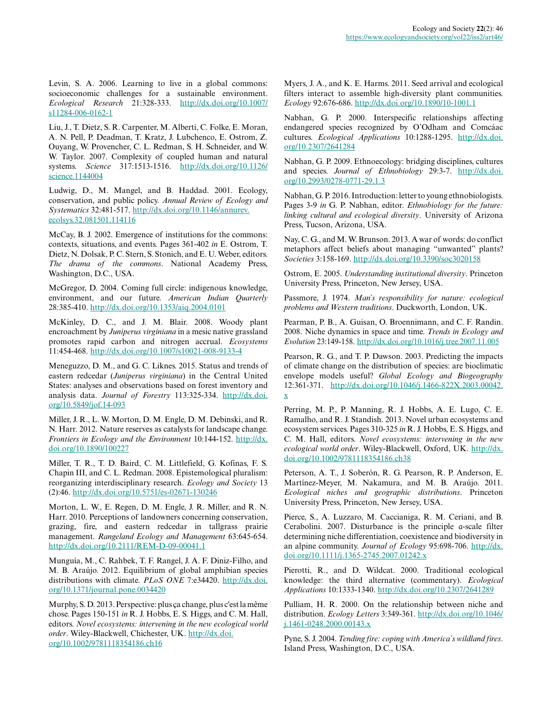Levin, S. A. 2006. Learning to live in a global commons: socioeconomic challenges for a sustainable environment. *Ecological Research* 21:328-333. [http://dx.doi.org/10.1007/](http://dx.doi.org/10.1007%2Fs11284-006-0162-1) [s11284-006-0162-1](http://dx.doi.org/10.1007%2Fs11284-006-0162-1) 

Liu, J., T. Dietz, S. R. Carpenter, M. Alberti, C. Folke, E. Moran, A. N. Pell, P. Deadman, T. Kratz, J. Lubchenco, E. Ostrom, Z. Ouyang, W. Provencher, C. L. Redman, S. H. Schneider, and W. W. Taylor. 2007. Complexity of coupled human and natural systems. *Science* 317:1513-1516. [http://dx.doi.org/10.1126/](http://dx.doi.org/10.1126%2Fscience.1144004) [science.1144004](http://dx.doi.org/10.1126%2Fscience.1144004)

Ludwig, D., M. Mangel, and B. Haddad. 2001. Ecology, conservation, and public policy. *Annual Review of Ecology and Systematics* 32:481-517. [http://dx.doi.org/10.1146/annurev.](http://dx.doi.org/10.1146%2Fannurev.ecolsys.32.081501.114116) [ecolsys.32.081501.114116](http://dx.doi.org/10.1146%2Fannurev.ecolsys.32.081501.114116)

McCay, B. J. 2002. Emergence of institutions for the commons: contexts, situations, and events. Pages 361-402 *in* E. Ostrom, T. Dietz, N. Dolsak, P. C. Stern, S. Stonich, and E. U. Weber, editors. *The drama of the commons*. National Academy Press, Washington, D.C., USA.

McGregor, D. 2004. Coming full circle: indigenous knowledge, environment, and our future. *American Indian Quarterly* 28:385-410. [http://dx.doi.org/10.1353/aiq.2004.0101](http://dx.doi.org/10.1353%2Faiq.2004.0101)

McKinley, D. C., and J. M. Blair. 2008. Woody plant encroachment by *Juniperus virginiana* in a mesic native grassland promotes rapid carbon and nitrogen accrual. *Ecosystems* 11:454-468. [http://dx.doi.org/10.1007/s10021-008-9133-4](http://dx.doi.org/10.1007%2Fs10021-008-9133-4)

Meneguzzo, D. M., and G. C. Liknes. 2015. Status and trends of eastern redcedar (*Juniperus virginiana*) in the Central United States: analyses and observations based on forest inventory and analysis data. *Journal of Forestry* 113:325-334. [http://dx.doi.](http://dx.doi.org/10.5849%2Fjof.14-093) [org/10.5849/jof.14-093](http://dx.doi.org/10.5849%2Fjof.14-093)

Miller, J. R., L. W. Morton, D. M. Engle, D. M. Debinski, and R. N. Harr. 2012. Nature reserves as catalysts for landscape change. *Frontiers in Ecology and the Environment* 10:144-152. [http://dx.](http://dx.doi.org/10.1890%2F100227) [doi.org/10.1890/100227](http://dx.doi.org/10.1890%2F100227)

Miller, T. R., T. D. Baird, C. M. Littlefield, G. Kofinas, F. S. Chapin III, and C. L. Redman. 2008. Epistemological pluralism: reorganizing interdisciplinary research. *Ecology and Society* 13 (2):46. [http://dx.doi.org/10.5751/es-02671-130246](http://dx.doi.org/10.5751%2Fes-02671-130246) 

Morton, L. W., E. Regen, D. M. Engle, J. R. Miller, and R. N. Harr. 2010. Perceptions of landowners concerning conservation, grazing, fire, and eastern redcedar in tallgrass prairie management. *Rangeland Ecology and Management* 63:645-654. [http://dx.doi.org/10.2111/REM-D-09-00041.1](http://dx.doi.org/10.2111%2FREM-D-09-00041.1)

Munguía, M., C. Rahbek, T. F. Rangel, J. A. F. Diniz-Filho, and M. B. Araújo. 2012. Equilibrium of global amphibian species distributions with climate. *PLoS ONE* 7:e34420. [http://dx.doi.](http://dx.doi.org/10.1371%2Fjournal.pone.0034420) [org/10.1371/journal.pone.0034420](http://dx.doi.org/10.1371%2Fjournal.pone.0034420) 

Murphy, S. D. 2013. Perspective: plus ça change, plus c'est la même chose. Pages 150-151 *in* R. J. Hobbs, E. S. Higgs, and C. M. Hall, editors. *Novel ecosystems: intervening in the new ecological world order*. Wiley-Blackwell, Chichester, UK. [http://dx.doi.](http://dx.doi.org/10.1002%2F9781118354186.ch16) [org/10.1002/9781118354186.ch16](http://dx.doi.org/10.1002%2F9781118354186.ch16)

Myers, J. A., and K. E. Harms. 2011. Seed arrival and ecological filters interact to assemble high-diversity plant communities. *Ecology* 92:676-686. [http://dx.doi.org/10.1890/10-1001.1](http://dx.doi.org/10.1890%2F10-1001.1) 

Nabhan, G. P. 2000. Interspecific relationships affecting endangered species recognized by O'Odham and Comcáac cultures. *Ecological Applications* 10:1288-1295. [http://dx.doi.](http://dx.doi.org/10.2307%2F2641284) [org/10.2307/2641284](http://dx.doi.org/10.2307%2F2641284) 

Nabhan, G. P. 2009. Ethnoecology: bridging disciplines, cultures and species. *Journal of Ethnobiology* 29:3-7. [http://dx.doi.](http://dx.doi.org/10.2993%2F0278-0771-29.1.3) [org/10.2993/0278-0771-29.1.3](http://dx.doi.org/10.2993%2F0278-0771-29.1.3)

Nabhan, G. P. 2016. Introduction: letter to young ethnobiologists. Pages 3-9 *in* G. P. Nabhan, editor. *Ethnobiology for the future: linking cultural and ecological diversity*. University of Arizona Press, Tucson, Arizona, USA.

Nay, C. G., and M. W. Brunson. 2013. A war of words: do conflict metaphors affect beliefs about managing "unwanted" plants? *Societies* 3:158-169. [http://dx.doi.org/10.3390/soc3020158](http://dx.doi.org/10.3390%2Fsoc3020158)

Ostrom, E. 2005. *Understanding institutional diversity*. Princeton University Press, Princeton, New Jersey, USA.

Passmore, J. 1974. *Man's responsibility for nature: ecological problems and Western traditions*. Duckworth, London, UK.

Pearman, P. B., A. Guisan, O. Broennimann, and C. F. Randin. 2008. Niche dynamics in space and time. *Trends in Ecology and Evolution* 23:149-158. [http://dx.doi.org/10.1016/j.tree.2007.11.005](http://dx.doi.org/10.1016%2Fj.tree.2007.11.005) 

Pearson, R. G., and T. P. Dawson. 2003. Predicting the impacts of climate change on the distribution of species: are bioclimatic envelope models useful? *Global Ecology and Biogeography* 12:361-371. [http://dx.doi.org/10.1046/j.1466-822X.2003.00042.](http://dx.doi.org/10.1046%2Fj.1466-822X.2003.00042.x) [x](http://dx.doi.org/10.1046%2Fj.1466-822X.2003.00042.x) 

Perring, M. P., P. Manning, R. J. Hobbs, A. E. Lugo, C. E. Ramalho, and R. J. Standish. 2013. Novel urban ecosystems and ecosystem services. Pages 310-325 *in* R. J. Hobbs, E. S. Higgs, and C. M. Hall, editors. *Novel ecosystems: intervening in the new ecological world order*. Wiley-Blackwell, Oxford, UK. [http://dx.](http://dx.doi.org/10.1002%2F9781118354186.ch38) [doi.org/10.1002/9781118354186.ch38](http://dx.doi.org/10.1002%2F9781118354186.ch38) 

Peterson, A. T., J. Soberón, R. G. Pearson, R. P. Anderson, E. Martínez-Meyer, M. Nakamura, and M. B. Araújo. 2011. *Ecological niches and geographic distributions*. Princeton University Press, Princeton, New Jersey, USA.

Pierce, S., A. Luzzaro, M. Caccianiga, R. M. Ceriani, and B. Cerabolini. 2007. Disturbance is the principle ɑ-scale filter determining niche differentiation, coexistence and biodiversity in an alpine community. *Journal of Ecology* 95:698-706. [http://dx.](http://dx.doi.org/10.1111%2Fj.1365-2745.2007.01242.x) [doi.org/10.1111/j.1365-2745.2007.01242.x](http://dx.doi.org/10.1111%2Fj.1365-2745.2007.01242.x)

Pierotti, R., and D. Wildcat. 2000. Traditional ecological knowledge: the third alternative (commentary). *Ecological Applications* 10:1333-1340. [http://dx.doi.org/10.2307/2641289](http://dx.doi.org/10.2307%2F2641289) 

Pulliam, H. R. 2000. On the relationship between niche and distribution. *Ecology Letters* 3:349-361. [http://dx.doi.org/10.1046/](http://dx.doi.org/10.1046%2Fj.1461-0248.2000.00143.x) [j.1461-0248.2000.00143.x](http://dx.doi.org/10.1046%2Fj.1461-0248.2000.00143.x)

Pyne, S. J. 2004. *Tending fire: coping with America's wildland fires*. Island Press, Washington, D.C., USA.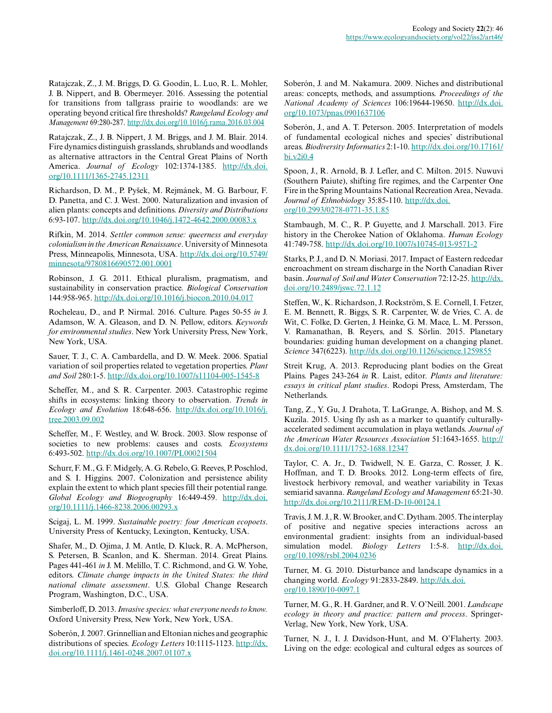Ratajczak, Z., J. M. Briggs, D. G. Goodin, L. Luo, R. L. Mohler, J. B. Nippert, and B. Obermeyer. 2016. Assessing the potential for transitions from tallgrass prairie to woodlands: are we operating beyond critical fire thresholds? *Rangeland Ecology and Management* 69:280-287. [http://dx.doi.org/10.1016/j.rama.2016.03.004](http://dx.doi.org/10.1016%2Fj.rama.2016.03.004) 

Ratajczak, Z., J. B. Nippert, J. M. Briggs, and J. M. Blair. 2014. Fire dynamics distinguish grasslands, shrublands and woodlands as alternative attractors in the Central Great Plains of North America. *Journal of Ecology* 102:1374-1385. [http://dx.doi.](http://dx.doi.org/10.1111%2F1365-2745.12311) [org/10.1111/1365-2745.12311](http://dx.doi.org/10.1111%2F1365-2745.12311)

Richardson, D. M., P. Pyšek, M. Rejmánek, M. G. Barbour, F. D. Panetta, and C. J. West. 2000. Naturalization and invasion of alien plants: concepts and definitions. *Diversity and Distributions* 6:93-107. [http://dx.doi.org/10.1046/j.1472-4642.2000.00083.x](http://dx.doi.org/10.1046%2Fj.1472-4642.2000.00083.x) 

Rifkin, M. 2014. *Settler common sense: queerness and everyday colonialism in the American Renaissance*. University of Minnesota Press, Minneapolis, Minnesota, USA. [http://dx.doi.org/10.5749/](http://dx.doi.org/10.5749%2Fminnesota%2F9780816690572.001.0001) [minnesota/9780816690572.001.0001](http://dx.doi.org/10.5749%2Fminnesota%2F9780816690572.001.0001)

Robinson, J. G. 2011. Ethical pluralism, pragmatism, and sustainability in conservation practice. *Biological Conservation* 144:958-965. [http://dx.doi.org/10.1016/j.biocon.2010.04.017](http://dx.doi.org/10.1016%2Fj.biocon.2010.04.017) 

Rocheleau, D., and P. Nirmal. 2016. Culture. Pages 50-55 *in* J. Adamson, W. A. Gleason, and D. N. Pellow, editors. *Keywords for environmental studies*. New York University Press, New York, New York, USA.

Sauer, T. J., C. A. Cambardella, and D. W. Meek. 2006. Spatial variation of soil properties related to vegetation properties. *Plant and Soil* 280:1-5. [http://dx.doi.org/10.1007/s11104-005-1545-8](http://dx.doi.org/10.1007%2Fs11104-005-1545-8) 

Scheffer, M., and S. R. Carpenter. 2003. Catastrophic regime shifts in ecosystems: linking theory to observation. *Trends in Ecology and Evolution* 18:648-656. [http://dx.doi.org/10.1016/j.](http://dx.doi.org/10.1016%2Fj.tree.2003.09.002) [tree.2003.09.002](http://dx.doi.org/10.1016%2Fj.tree.2003.09.002) 

Scheffer, M., F. Westley, and W. Brock. 2003. Slow response of societies to new problems: causes and costs. *Ecosystems* 6:493-502. [http://dx.doi.org/10.1007/PL00021504](http://dx.doi.org/10.1007%2FPL00021504)

Schurr, F. M., G. F. Midgely, A. G. Rebelo, G. Reeves, P. Poschlod, and S. I. Higgins. 2007. Colonization and persistence ability explain the extent to which plant species fill their potential range. *Global Ecology and Biogeography* 16:449-459. [http://dx.doi.](http://dx.doi.org/10.1111%2Fj.1466-8238.2006.00293.x) [org/10.1111/j.1466-8238.2006.00293.x](http://dx.doi.org/10.1111%2Fj.1466-8238.2006.00293.x)

Scigaj, L. M. 1999. *Sustainable poetry: four American ecopoets*. University Press of Kentucky, Lexington, Kentucky, USA.

Shafer, M., D. Ojima, J. M. Antle, D. Kluck, R. A. McPherson, S. Petersen, B. Scanlon, and K. Sherman. 2014. Great Plains. Pages 441-461 *in* J. M. Melillo, T. C. Richmond, and G. W. Yohe, editors. *Climate change impacts in the United States: the third national climate assessment*. U.S. Global Change Research Program, Washington, D.C., USA.

Simberloff, D. 2013. *Invasive species: what everyone needs to know.* Oxford University Press, New York, New York, USA.

Soberón, J. 2007. Grinnellian and Eltonian niches and geographic distributions of species. *Ecology Letters* 10:1115-1123. [http://dx.](http://dx.doi.org/10.1111%2Fj.1461-0248.2007.01107.x) [doi.org/10.1111/j.1461-0248.2007.01107.x](http://dx.doi.org/10.1111%2Fj.1461-0248.2007.01107.x)

Soberón, J. and M. Nakamura. 2009. Niches and distributional areas: concepts, methods, and assumptions. *Proceedings of the National Academy of Sciences* 106:19644-19650. [http://dx.doi.](http://dx.doi.org/10.1073%2Fpnas.0901637106) [org/10.1073/pnas.0901637106](http://dx.doi.org/10.1073%2Fpnas.0901637106) 

Soberón, J., and A. T. Peterson. 2005. Interpretation of models of fundamental ecological niches and species' distributional areas. *Biodiversity Informatics* 2:1-10. [http://dx.doi.org/10.17161/](http://dx.doi.org/10.17161%2Fbi.v2i0.4) [bi.v2i0.4](http://dx.doi.org/10.17161%2Fbi.v2i0.4) 

Spoon, J., R. Arnold, B. J. Lefler, and C. Milton. 2015. Nuwuvi (Southern Paiute), shifting fire regimes, and the Carpenter One Fire in the Spring Mountains National Recreation Area, Nevada. Journal of Ethnobiology 35:85-110. [http://dx.doi.](http://dx.doi.org/10.2993%2F0278-0771-35.1.85) [org/10.2993/0278-0771-35.1.85](http://dx.doi.org/10.2993%2F0278-0771-35.1.85) 

Stambaugh, M. C., R. P. Guyette, and J. Marschall. 2013. Fire history in the Cherokee Nation of Oklahoma. *Human Ecology* 41:749-758. [http://dx.doi.org/10.1007/s10745-013-9571-2](http://dx.doi.org/10.1007%2Fs10745-013-9571-2)

Starks, P. J., and D. N. Moriasi. 2017. Impact of Eastern redcedar encroachment on stream discharge in the North Canadian River basin. *Journal of Soil and Water Conservation* 72:12-25. [http://dx.](http://dx.doi.org/10.2489%2Fjswc.72.1.12) [doi.org/10.2489/jswc.72.1.12](http://dx.doi.org/10.2489%2Fjswc.72.1.12) 

Steffen, W., K. Richardson, J. Rockström, S. E. Cornell, I. Fetzer, E. M. Bennett, R. Biggs, S. R. Carpenter, W. de Vries, C. A. de Wit, C. Folke, D. Gerten, J. Heinke, G. M. Mace, L. M. Persson, V. Ramanathan, B. Reyers, and S. Sörlin. 2015. Planetary boundaries: guiding human development on a changing planet. *Science* 347(6223). [http://dx.doi.org/10.1126/science.1259855](http://dx.doi.org/10.1126%2Fscience.1259855) 

Streit Krug, A. 2013. Reproducing plant bodies on the Great Plains. Pages 243-264 *in* R. Laist, editor. *Plants and literature: essays in critical plant studies*. Rodopi Press, Amsterdam, The Netherlands.

Tang, Z., Y. Gu, J. Drahota, T. LaGrange, A. Bishop, and M. S. Kuzila. 2015. Using fly ash as a marker to quantify culturallyaccelerated sediment accumulation in playa wetlands. *Journal of the American Water Resources Association* 51:1643-1655. [http://](http://dx.doi.org/10.1111%2F1752-1688.12347) [dx.doi.org/10.1111/1752-1688.12347](http://dx.doi.org/10.1111%2F1752-1688.12347) 

Taylor, C. A. Jr., D. Twidwell, N. E. Garza, C. Rosser, J. K. Hoffman, and T. D. Brooks. 2012. Long-term effects of fire, livestock herbivory removal, and weather variability in Texas semiarid savanna. *Rangeland Ecology and Management* 65:21-30. [http://dx.doi.org/10.2111/REM-D-10-00124.1](http://dx.doi.org/10.2111%2FREM-D-10-00124.1)

Travis, J. M. J., R. W. Brooker, and C. Dytham. 2005. The interplay of positive and negative species interactions across an environmental gradient: insights from an individual-based simulation model. *Biology Letters* 1:5-8. [http://dx.doi.](http://dx.doi.org/10.1098%2Frsbl.2004.0236) [org/10.1098/rsbl.2004.0236](http://dx.doi.org/10.1098%2Frsbl.2004.0236)

Turner, M. G. 2010. Disturbance and landscape dynamics in a changing world. *Ecology* 91:2833-2849. [http://dx.doi.](http://dx.doi.org/10.1890%2F10-0097.1) [org/10.1890/10-0097.1](http://dx.doi.org/10.1890%2F10-0097.1)

Turner, M. G., R. H. Gardner, and R. V. O'Neill. 2001. *Landscape ecology in theory and practice: pattern and process*. Springer-Verlag, New York, New York, USA.

Turner, N. J., I. J. Davidson-Hunt, and M. O'Flaherty. 2003. Living on the edge: ecological and cultural edges as sources of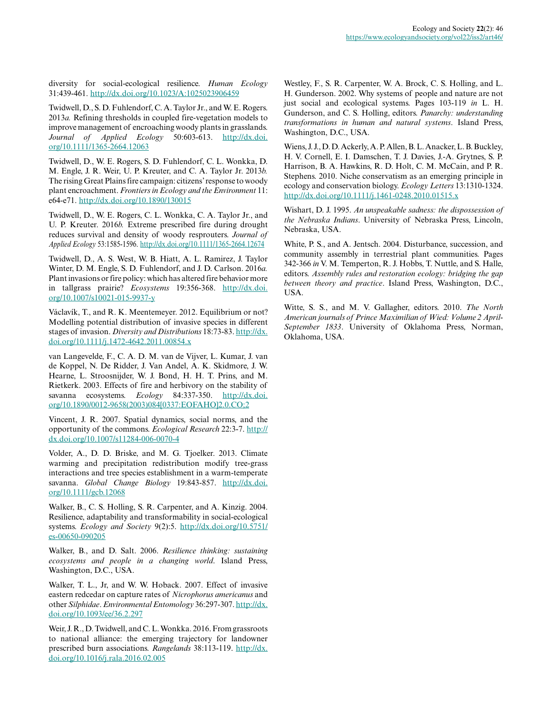diversity for social-ecological resilience. *Human Ecology* 31:439-461. [http://dx.doi.org/10.1023/A:1025023906459](http://dx.doi.org/10.1023%2FA%3A1025023906459)

Twidwell, D., S. D. Fuhlendorf, C. A. Taylor Jr., and W. E. Rogers. 2013*a.* Refining thresholds in coupled fire-vegetation models to improve management of encroaching woody plants in grasslands. *Journal of Applied Ecology* 50:603-613. [http://dx.doi.](http://dx.doi.org/10.1111%2F1365-2664.12063) [org/10.1111/1365-2664.12063](http://dx.doi.org/10.1111%2F1365-2664.12063)

Twidwell, D., W. E. Rogers, S. D. Fuhlendorf, C. L. Wonkka, D. M. Engle, J. R. Weir, U. P. Kreuter, and C. A. Taylor Jr. 2013*b.* The rising Great Plains fire campaign: citizens' response to woody plant encroachment. *Frontiers in Ecology and the Environment* 11: e64-e71. [http://dx.doi.org/10.1890/130015](http://dx.doi.org/10.1890%2F130015) 

Twidwell, D., W. E. Rogers, C. L. Wonkka, C. A. Taylor Jr., and U. P. Kreuter. 2016*b.* Extreme prescribed fire during drought reduces survival and density of woody resprouters. *Journal of Applied Ecology* 53:1585-1596. [http://dx.doi.org/10.1111/1365-2664.12674](http://dx.doi.org/10.1111%2F1365-2664.12674)

Twidwell, D., A. S. West, W. B. Hiatt, A. L. Ramirez, J. Taylor Winter, D. M. Engle, S. D. Fuhlendorf, and J. D. Carlson. 2016*a.* Plant invasions or fire policy: which has altered fire behavior more in tallgrass prairie? *Ecosystems* 19:356-368. [http://dx.doi.](http://dx.doi.org/10.1007%2Fs10021-015-9937-y) [org/10.1007/s10021-015-9937-y](http://dx.doi.org/10.1007%2Fs10021-015-9937-y)

Václavík, T., and R. K. Meentemeyer. 2012. Equilibrium or not? Modelling potential distribution of invasive species in different stages of invasion. *Diversity and Distributions* 18:73-83. [http://dx.](http://dx.doi.org/10.1111%2Fj.1472-4642.2011.00854.x) [doi.org/10.1111/j.1472-4642.2011.00854.x](http://dx.doi.org/10.1111%2Fj.1472-4642.2011.00854.x)

van Langevelde, F., C. A. D. M. van de Vijver, L. Kumar, J. van de Koppel, N. De Ridder, J. Van Andel, A. K. Skidmore, J. W. Hearne, L. Stroosnijder, W. J. Bond, H. H. T. Prins, and M. Rietkerk. 2003. Effects of fire and herbivory on the stability of savanna ecosystems. *Ecology* 84:337-350. [http://dx.doi.](http://dx.doi.org/10.1890%2F0012-9658%282003%29084%5B0337%3AEOFAHO%5D2.0.CO%3B2) [org/10.1890/0012-9658\(2003\)084\[0337:EOFAHO\]2.0.CO;2](http://dx.doi.org/10.1890%2F0012-9658%282003%29084%5B0337%3AEOFAHO%5D2.0.CO%3B2)

Vincent, J. R. 2007. Spatial dynamics, social norms, and the opportunity of the commons. *Ecological Research* 22:3-7. [http://](http://dx.doi.org/10.1007%2Fs11284-006-0070-4) [dx.doi.org/10.1007/s11284-006-0070-4](http://dx.doi.org/10.1007%2Fs11284-006-0070-4) 

Volder, A., D. D. Briske, and M. G. Tjoelker. 2013. Climate warming and precipitation redistribution modify tree-grass interactions and tree species establishment in a warm-temperate savanna. *Global Change Biology* 19:843-857. [http://dx.doi.](http://dx.doi.org/10.1111%2Fgcb.12068) [org/10.1111/gcb.12068](http://dx.doi.org/10.1111%2Fgcb.12068) 

Walker, B., C. S. Holling, S. R. Carpenter, and A. Kinzig. 2004. Resilience, adaptability and transformability in social-ecological systems. *Ecology and Society* 9(2):5. [http://dx.doi.org/10.5751/](http://dx.doi.org/10.5751%2Fes-00650-090205) [es-00650-090205](http://dx.doi.org/10.5751%2Fes-00650-090205) 

Walker, B., and D. Salt. 2006. *Resilience thinking: sustaining ecosystems and people in a changing world*. Island Press, Washington, D.C., USA.

Walker, T. L., Jr, and W. W. Hoback. 2007. Effect of invasive eastern redcedar on capture rates of *Nicrophorus americanus* and other *Silphidae*. *Environmental Entomology* 36:297-307. [http://dx.](http://dx.doi.org/10.1093%2Fee%2F36.2.297) [doi.org/10.1093/ee/36.2.297](http://dx.doi.org/10.1093%2Fee%2F36.2.297)

Weir, J. R., D. Twidwell, and C. L. Wonkka. 2016. From grassroots to national alliance: the emerging trajectory for landowner prescribed burn associations. *Rangelands* 38:113-119. [http://dx.](http://dx.doi.org/10.1016%2Fj.rala.2016.02.005) [doi.org/10.1016/j.rala.2016.02.005](http://dx.doi.org/10.1016%2Fj.rala.2016.02.005) 

Westley, F., S. R. Carpenter, W. A. Brock, C. S. Holling, and L. H. Gunderson. 2002. Why systems of people and nature are not just social and ecological systems. Pages 103-119 *in* L. H. Gunderson, and C. S. Holling, editors. *Panarchy: understanding transformations in human and natural systems*. Island Press, Washington, D.C., USA.

Wiens, J. J., D. D. Ackerly, A. P. Allen, B. L. Anacker, L. B. Buckley, H. V. Cornell, E. I. Damschen, T. J. Davies, J.-A. Grytnes, S. P. Harrison, B. A. Hawkins, R. D. Holt, C. M. McCain, and P. R. Stephens. 2010. Niche conservatism as an emerging principle in ecology and conservation biology. *Ecology Letters* 13:1310-1324. [http://dx.doi.org/10.1111/j.1461-0248.2010.01515.x](http://dx.doi.org/10.1111%2Fj.1461-0248.2010.01515.x) 

Wishart, D. J. 1995. *An unspeakable sadness: the dispossession of the Nebraska Indians*. University of Nebraska Press, Lincoln, Nebraska, USA.

White, P. S., and A. Jentsch. 2004. Disturbance, succession, and community assembly in terrestrial plant communities. Pages 342-366 *in* V. M. Temperton, R. J. Hobbs, T. Nuttle, and S. Halle, editors. *Assembly rules and restoration ecology: bridging the gap between theory and practice*. Island Press, Washington, D.C., USA.

Witte, S. S., and M. V. Gallagher, editors. 2010. *The North American journals of Prince Maximilian of Wied: Volume 2 April-September 1833*. University of Oklahoma Press, Norman, Oklahoma, USA.